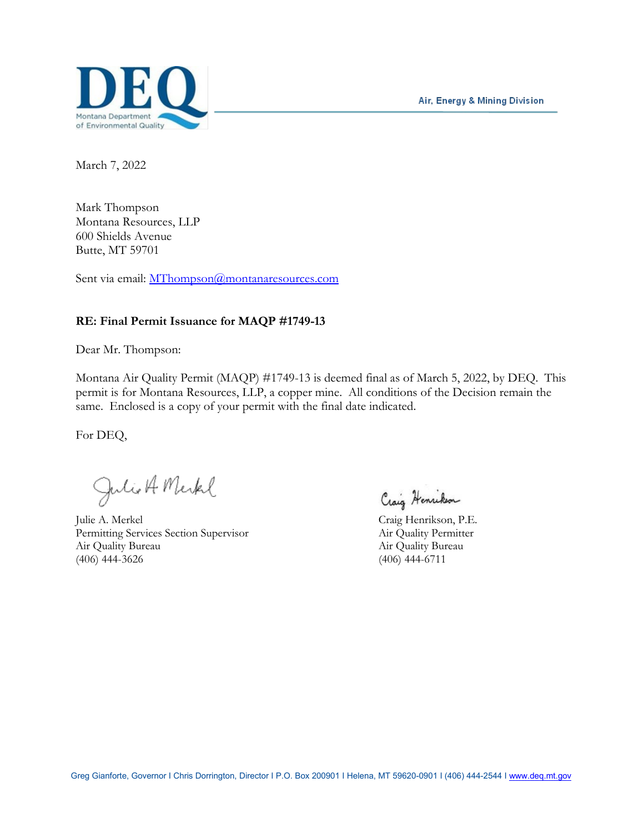Air, Energy & Mining Division



March 7, 2022

Mark Thompson Montana Resources, LLP 600 Shields Avenue Butte, MT 59701

Sent via email: [MThompson@montanaresources.com](mailto:MThompson@montanaresources.com)

#### **RE: Final Permit Issuance for MAQP #1749-13**

Dear Mr. Thompson:

Montana Air Quality Permit (MAQP) #1749-13 is deemed final as of March 5, 2022, by DEQ. This permit is for Montana Resources, LLP, a copper mine. All conditions of the Decision remain the same. Enclosed is a copy of your permit with the final date indicated.

For DEQ,

Julio A Merkel

Julie A. Merkel Craig Henrikson, P.E. Permitting Services Section Supervisor Air Quality Permitter Air Quality Bureau Air Quality Bureau Air Quality Bureau Air Quality Bureau (406) 444-3626 (406) 444-6711

Craig Henrikson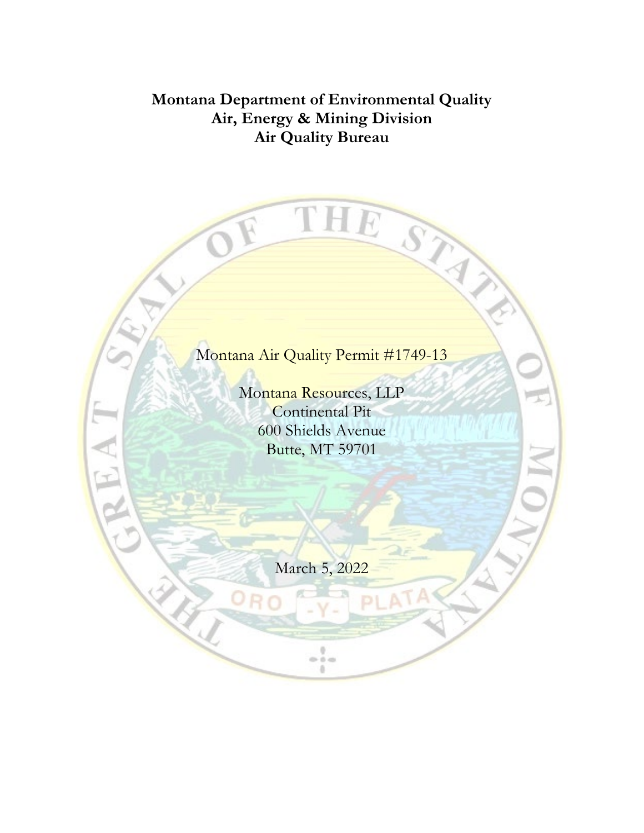## **Montana Department of Environmental Quality Air, Energy & Mining Division Air Quality Bureau**

R

A N

## Montana Air Quality Permit #1749-13

THE STAY

Montana Resources, LLP Continental Pit 600 Shields Avenue Butte, MT 59701

March 5, 2022

 $\frac{1}{n+1}$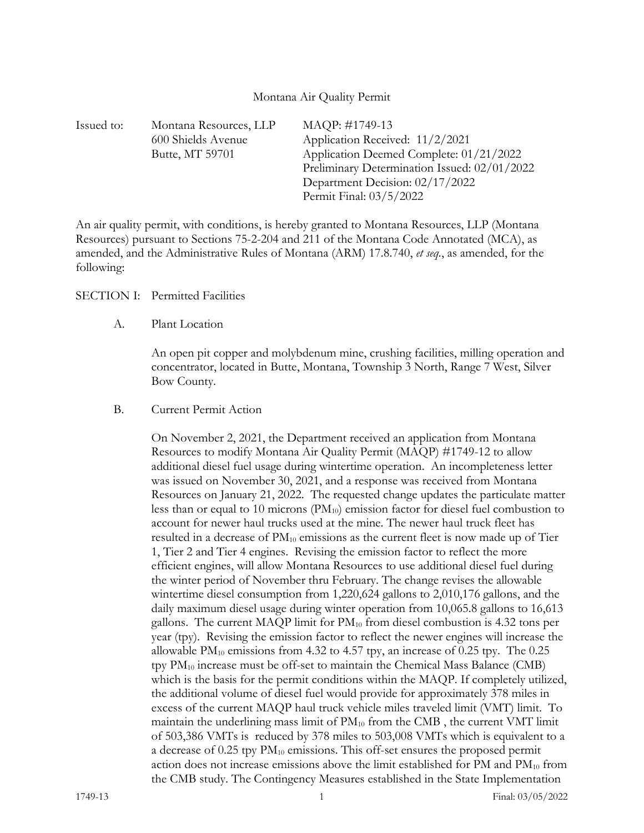#### Montana Air Quality Permit

| MAQP: #1749-13<br>Montana Resources, LLP              |
|-------------------------------------------------------|
| Application Received: 11/2/2021<br>600 Shields Avenue |
| Application Deemed Complete: 01/21/2022               |
| Preliminary Determination Issued: 02/01/2022          |
| Department Decision: 02/17/2022                       |
| Permit Final: 03/5/2022                               |
|                                                       |

An air quality permit, with conditions, is hereby granted to Montana Resources, LLP (Montana Resources) pursuant to Sections 75-2-204 and 211 of the Montana Code Annotated (MCA), as amended, and the Administrative Rules of Montana (ARM) 17.8.740, *et seq.*, as amended, for the following:

SECTION I: Permitted Facilities

A. Plant Location

An open pit copper and molybdenum mine, crushing facilities, milling operation and concentrator, located in Butte, Montana, Township 3 North, Range 7 West, Silver Bow County.

B. Current Permit Action

On November 2, 2021, the Department received an application from Montana Resources to modify Montana Air Quality Permit (MAQP) #1749-12 to allow additional diesel fuel usage during wintertime operation. An incompleteness letter was issued on November 30, 2021, and a response was received from Montana Resources on January 21, 2022. The requested change updates the particulate matter less than or equal to 10 microns (PM10) emission factor for diesel fuel combustion to account for newer haul trucks used at the mine. The newer haul truck fleet has resulted in a decrease of PM10 emissions as the current fleet is now made up of Tier 1, Tier 2 and Tier 4 engines. Revising the emission factor to reflect the more efficient engines, will allow Montana Resources to use additional diesel fuel during the winter period of November thru February. The change revises the allowable wintertime diesel consumption from 1,220,624 gallons to 2,010,176 gallons, and the daily maximum diesel usage during winter operation from 10,065.8 gallons to 16,613 gallons. The current MAQP limit for  $PM_{10}$  from diesel combustion is 4.32 tons per year (tpy). Revising the emission factor to reflect the newer engines will increase the allowable  $PM_{10}$  emissions from 4.32 to 4.57 tpy, an increase of 0.25 tpy. The 0.25 tpy PM10 increase must be off-set to maintain the Chemical Mass Balance (CMB) which is the basis for the permit conditions within the MAQP. If completely utilized, the additional volume of diesel fuel would provide for approximately 378 miles in excess of the current MAQP haul truck vehicle miles traveled limit (VMT) limit. To maintain the underlining mass limit of PM<sub>10</sub> from the CMB, the current VMT limit of 503,386 VMTs is reduced by 378 miles to 503,008 VMTs which is equivalent to a a decrease of  $0.25$  tpy  $PM_{10}$  emissions. This off-set ensures the proposed permit action does not increase emissions above the limit established for PM and  $PM_{10}$  from the CMB study. The Contingency Measures established in the State Implementation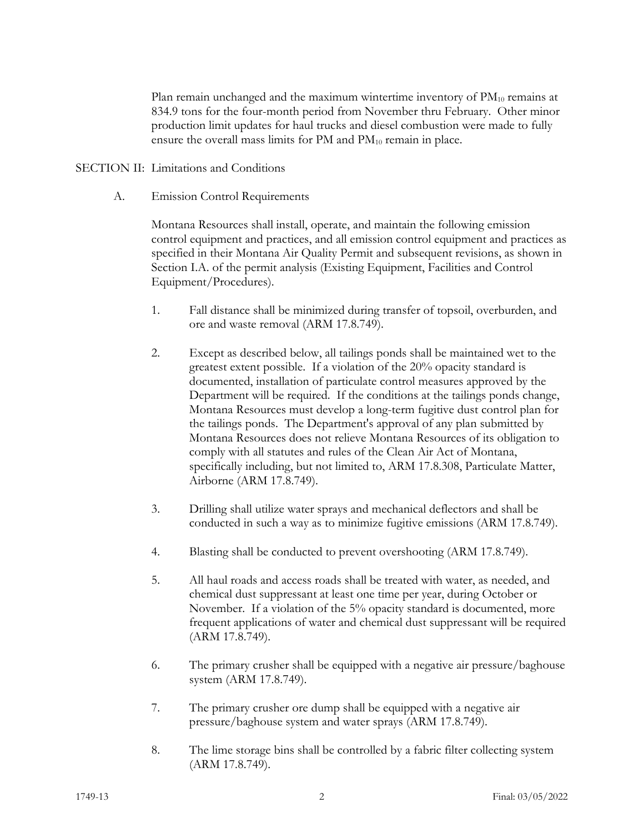Plan remain unchanged and the maximum wintertime inventory of  $PM_{10}$  remains at 834.9 tons for the four-month period from November thru February. Other minor production limit updates for haul trucks and diesel combustion were made to fully ensure the overall mass limits for PM and PM<sub>10</sub> remain in place.

#### SECTION II: Limitations and Conditions

A. Emission Control Requirements

Montana Resources shall install, operate, and maintain the following emission control equipment and practices, and all emission control equipment and practices as specified in their Montana Air Quality Permit and subsequent revisions, as shown in Section I.A. of the permit analysis (Existing Equipment, Facilities and Control Equipment/Procedures).

- 1. Fall distance shall be minimized during transfer of topsoil, overburden, and ore and waste removal (ARM 17.8.749).
- 2. Except as described below, all tailings ponds shall be maintained wet to the greatest extent possible. If a violation of the 20% opacity standard is documented, installation of particulate control measures approved by the Department will be required. If the conditions at the tailings ponds change, Montana Resources must develop a long-term fugitive dust control plan for the tailings ponds. The Department's approval of any plan submitted by Montana Resources does not relieve Montana Resources of its obligation to comply with all statutes and rules of the Clean Air Act of Montana, specifically including, but not limited to, ARM 17.8.308, Particulate Matter, Airborne (ARM 17.8.749).
- 3. Drilling shall utilize water sprays and mechanical deflectors and shall be conducted in such a way as to minimize fugitive emissions (ARM 17.8.749).
- 4. Blasting shall be conducted to prevent overshooting (ARM 17.8.749).
- 5. All haul roads and access roads shall be treated with water, as needed, and chemical dust suppressant at least one time per year, during October or November. If a violation of the 5% opacity standard is documented, more frequent applications of water and chemical dust suppressant will be required (ARM 17.8.749).
- 6. The primary crusher shall be equipped with a negative air pressure/baghouse system (ARM 17.8.749).
- 7. The primary crusher ore dump shall be equipped with a negative air pressure/baghouse system and water sprays (ARM 17.8.749).
- 8. The lime storage bins shall be controlled by a fabric filter collecting system (ARM 17.8.749).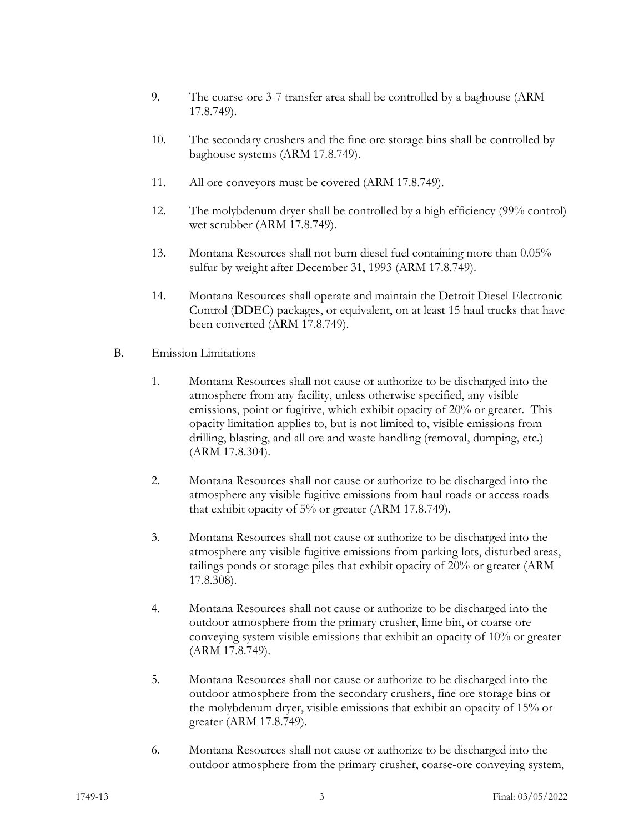- 9. The coarse-ore 3-7 transfer area shall be controlled by a baghouse (ARM 17.8.749).
- 10. The secondary crushers and the fine ore storage bins shall be controlled by baghouse systems (ARM 17.8.749).
- 11. All ore conveyors must be covered (ARM 17.8.749).
- 12. The molybdenum dryer shall be controlled by a high efficiency (99% control) wet scrubber (ARM 17.8.749).
- 13. Montana Resources shall not burn diesel fuel containing more than 0.05% sulfur by weight after December 31, 1993 (ARM 17.8.749).
- 14. Montana Resources shall operate and maintain the Detroit Diesel Electronic Control (DDEC) packages, or equivalent, on at least 15 haul trucks that have been converted (ARM 17.8.749).
- B. Emission Limitations
	- 1. Montana Resources shall not cause or authorize to be discharged into the atmosphere from any facility, unless otherwise specified, any visible emissions, point or fugitive, which exhibit opacity of 20% or greater. This opacity limitation applies to, but is not limited to, visible emissions from drilling, blasting, and all ore and waste handling (removal, dumping, etc.) (ARM 17.8.304).
	- 2. Montana Resources shall not cause or authorize to be discharged into the atmosphere any visible fugitive emissions from haul roads or access roads that exhibit opacity of 5% or greater (ARM 17.8.749).
	- 3. Montana Resources shall not cause or authorize to be discharged into the atmosphere any visible fugitive emissions from parking lots, disturbed areas, tailings ponds or storage piles that exhibit opacity of 20% or greater (ARM 17.8.308).
	- 4. Montana Resources shall not cause or authorize to be discharged into the outdoor atmosphere from the primary crusher, lime bin, or coarse ore conveying system visible emissions that exhibit an opacity of 10% or greater (ARM 17.8.749).
	- 5. Montana Resources shall not cause or authorize to be discharged into the outdoor atmosphere from the secondary crushers, fine ore storage bins or the molybdenum dryer, visible emissions that exhibit an opacity of 15% or greater (ARM 17.8.749).
	- 6. Montana Resources shall not cause or authorize to be discharged into the outdoor atmosphere from the primary crusher, coarse-ore conveying system,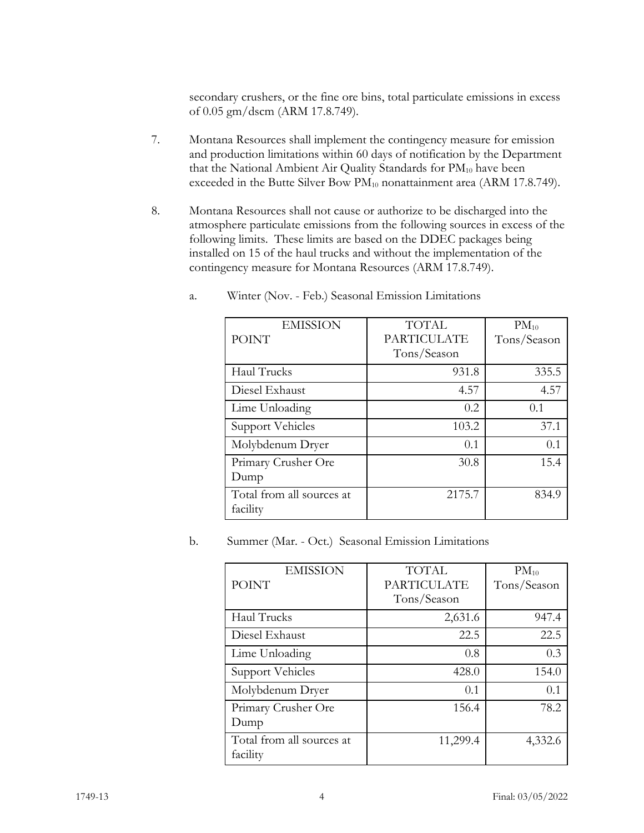secondary crushers, or the fine ore bins, total particulate emissions in excess of 0.05 gm/dscm (ARM 17.8.749).

- 7. Montana Resources shall implement the contingency measure for emission and production limitations within 60 days of notification by the Department that the National Ambient Air Quality Standards for PM<sub>10</sub> have been exceeded in the Butte Silver Bow PM<sub>10</sub> nonattainment area (ARM 17.8.749).
- 8. Montana Resources shall not cause or authorize to be discharged into the atmosphere particulate emissions from the following sources in excess of the following limits. These limits are based on the DDEC packages being installed on 15 of the haul trucks and without the implementation of the contingency measure for Montana Resources (ARM 17.8.749).

| <b>EMISSION</b><br><b>POINT</b>       | <b>TOTAL</b><br><b>PARTICULATE</b><br>Tons/Season | $PM_{10}$<br>Tons/Season |
|---------------------------------------|---------------------------------------------------|--------------------------|
|                                       |                                                   |                          |
| Haul Trucks                           | 931.8                                             | 335.5                    |
| Diesel Exhaust                        | 4.57                                              | 4.57                     |
| Lime Unloading                        | 0.2                                               | 0.1                      |
| Support Vehicles                      | 103.2                                             | 37.1                     |
| Molybdenum Dryer                      | 0.1                                               | 0.1                      |
| Primary Crusher Ore                   | 30.8                                              | 15.4                     |
| Dump                                  |                                                   |                          |
| Total from all sources at<br>facility | 2175.7                                            | 834.9                    |

a. Winter (Nov. - Feb.) Seasonal Emission Limitations

b. Summer (Mar. - Oct.) Seasonal Emission Limitations

| <b>EMISSION</b>           | <b>TOTAL</b>       | $PM_{10}$   |
|---------------------------|--------------------|-------------|
| <b>POINT</b>              | <b>PARTICULATE</b> | Tons/Season |
|                           | Tons/Season        |             |
| Haul Trucks               | 2,631.6            | 947.4       |
| Diesel Exhaust            | 22.5               | 22.5        |
| Lime Unloading            | 0.8                | 0.3         |
| <b>Support Vehicles</b>   | 428.0              | 154.0       |
| Molybdenum Dryer          | 0.1                | 0.1         |
| Primary Crusher Ore       | 156.4              | 78.2        |
| Dump                      |                    |             |
| Total from all sources at | 11,299.4           | 4,332.6     |
| facility                  |                    |             |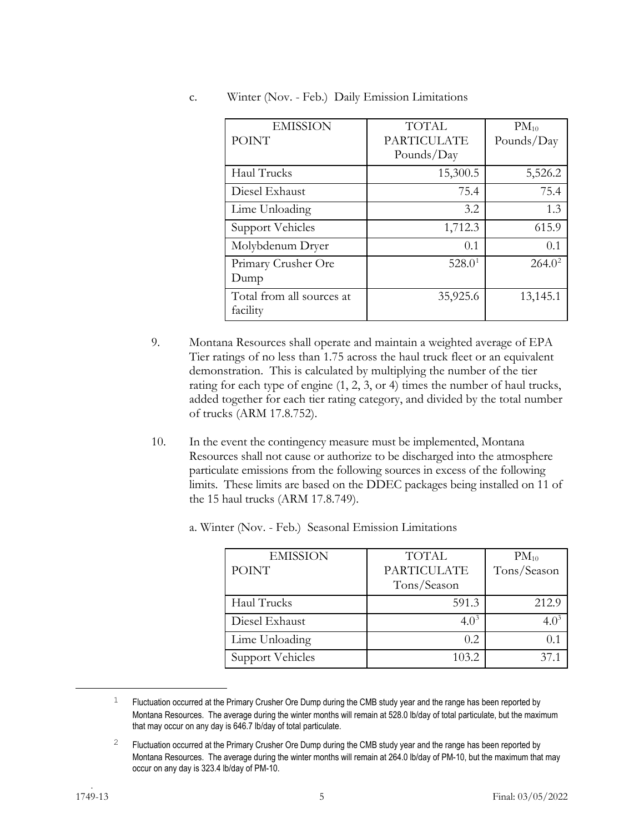| <b>EMISSION</b>                       | <b>TOTAL</b>                     | $PM_{10}$  |
|---------------------------------------|----------------------------------|------------|
| <b>POINT</b>                          | <b>PARTICULATE</b><br>Pounds/Day | Pounds/Day |
| Haul Trucks                           | 15,300.5                         | 5,526.2    |
| Diesel Exhaust                        | 75.4                             | 75.4       |
| Lime Unloading                        | 3.2                              | 1.3        |
| <b>Support Vehicles</b>               | 1,712.3                          | 615.9      |
| Molybdenum Dryer                      | 0.1                              | 0.1        |
| Primary Crusher Ore<br>Dump           | 528.0 <sup>1</sup>               | $264.0^2$  |
| Total from all sources at<br>facility | 35,925.6                         | 13,145.1   |

c. Winter (Nov. - Feb.) Daily Emission Limitations

- 9. Montana Resources shall operate and maintain a weighted average of EPA Tier ratings of no less than 1.75 across the haul truck fleet or an equivalent demonstration. This is calculated by multiplying the number of the tier rating for each type of engine (1, 2, 3, or 4) times the number of haul trucks, added together for each tier rating category, and divided by the total number of trucks (ARM 17.8.752).
- 10. In the event the contingency measure must be implemented, Montana Resources shall not cause or authorize to be discharged into the atmosphere particulate emissions from the following sources in excess of the following limits. These limits are based on the DDEC packages being installed on 11 of the 15 haul trucks (ARM 17.8.749).

| <b>EMISSION</b><br><b>POINT</b> | <b>TOTAL</b><br><b>PARTICULATE</b><br>Tons/Season | $PM_{10}$<br>Tons/Season |
|---------------------------------|---------------------------------------------------|--------------------------|
| Haul Trucks                     | 591.3                                             | 212.9                    |
| Diesel Exhaust                  | $4.0^{3}$                                         | $4.0^{\circ}$            |
| Lime Unloading                  | 0.2                                               | 0.1                      |
| Support Vehicles                | 103.2                                             |                          |

a. Winter (Nov. - Feb.) Seasonal Emission Limitations

<span id="page-6-0"></span> $1$  Fluctuation occurred at the Primary Crusher Ore Dump during the CMB study year and the range has been reported by Montana Resources. The average during the winter months will remain at 528.0 lb/day of total particulate, but the maximum that may occur on any day is 646.7 lb/day of total particulate.

<span id="page-6-2"></span><span id="page-6-1"></span><sup>&</sup>lt;sup>2</sup> Fluctuation occurred at the Primary Crusher Ore Dump during the CMB study year and the range has been reported by Montana Resources. The average during the winter months will remain at 264.0 lb/day of PM-10, but the maximum that may occur on any day is 323.4 lb/day of PM-10.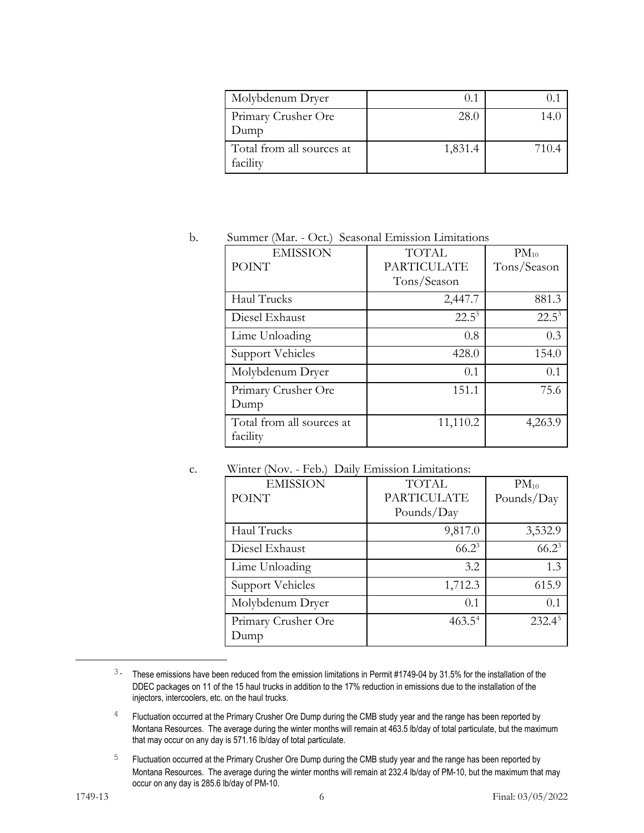| Molybdenum Dryer                      | 0.1     |      |
|---------------------------------------|---------|------|
| Primary Crusher Ore<br>Dump           | 28.0    | 14 ( |
| Total from all sources at<br>facility | 1,831.4 | 7104 |

#### b. Summer (Mar. - Oct.) Seasonal Emission Limitations

| <b>EMISSION</b>           | <b>TOTAL</b>       | $PM_{10}$   |
|---------------------------|--------------------|-------------|
| <b>POINT</b>              | <b>PARTICULATE</b> | Tons/Season |
|                           | Tons/Season        |             |
| Haul Trucks               | 2,447.7            | 881.3       |
| Diesel Exhaust            | $22.5^3$           | $22.5^3$    |
| Lime Unloading            | 0.8                | 0.3         |
| <b>Support Vehicles</b>   | 428.0              | 154.0       |
| Molybdenum Dryer          | 0.1                | 0.1         |
| Primary Crusher Ore       | 151.1              | 75.6        |
| Dump                      |                    |             |
| Total from all sources at | 11,110.2           | 4,263.9     |
| facility                  |                    |             |

#### c. Winter (Nov. - Feb.) Daily Emission Limitations:

| <b>EMISSION</b><br><b>POINT</b> | <b>TOTAL</b><br><b>PARTICULATE</b><br>Pounds/Day | $PM_{10}$<br>Pounds/Day |
|---------------------------------|--------------------------------------------------|-------------------------|
| Haul Trucks                     | 9,817.0                                          | 3,532.9                 |
| Diesel Exhaust                  | $66.2^3$                                         | $66.2^3$                |
| Lime Unloading                  | 3.2                                              | 1.3                     |
| <b>Support Vehicles</b>         | 1,712.3                                          | 615.9                   |
| Molybdenum Dryer                | 0.1                                              | 0.1                     |
| Primary Crusher Ore<br>Dump     | $463.5^4$                                        | $232.4^5$               |

<span id="page-7-0"></span><sup>3.</sup> These emissions have been reduced from the emission limitations in Permit #1749-04 by 31.5% for the installation of the DDEC packages on 11 of the 15 haul trucks in addition to the 17% reduction in emissions due to the installation of the injectors, intercoolers, etc. on the haul trucks.

 $4$  Fluctuation occurred at the Primary Crusher Ore Dump during the CMB study year and the range has been reported by Montana Resources. The average during the winter months will remain at 463.5 lb/day of total particulate, but the maximum that may occur on any day is 571.16 lb/day of total particulate.

<span id="page-7-1"></span><sup>&</sup>lt;sup>5</sup> Fluctuation occurred at the Primary Crusher Ore Dump during the CMB study year and the range has been reported by Montana Resources. The average during the winter months will remain at 232.4 lb/day of PM-10, but the maximum that may occur on any day is 285.6 lb/day of PM-10.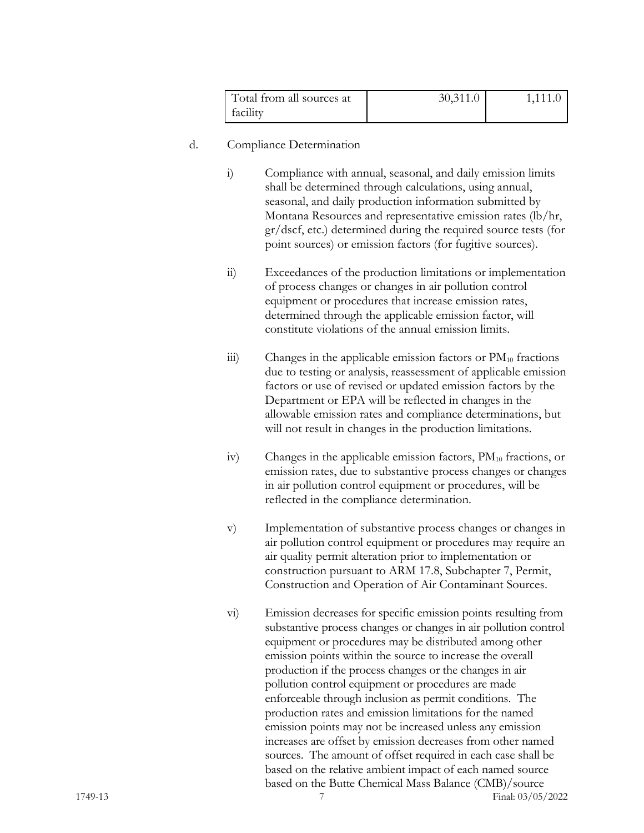| Total from all sources at | 30,311.0 | 1,111.0 |
|---------------------------|----------|---------|
| facility                  |          |         |

#### d. Compliance Determination

- i) Compliance with annual, seasonal, and daily emission limits shall be determined through calculations, using annual, seasonal, and daily production information submitted by Montana Resources and representative emission rates (lb/hr, gr/dscf, etc.) determined during the required source tests (for point sources) or emission factors (for fugitive sources).
- ii) Exceedances of the production limitations or implementation of process changes or changes in air pollution control equipment or procedures that increase emission rates, determined through the applicable emission factor, will constitute violations of the annual emission limits.
- $\dddot{\mathbf{i}}$  Changes in the applicable emission factors or  $\text{PM}_{10}$  fractions due to testing or analysis, reassessment of applicable emission factors or use of revised or updated emission factors by the Department or EPA will be reflected in changes in the allowable emission rates and compliance determinations, but will not result in changes in the production limitations.
- iv) Changes in the applicable emission factors,  $PM_{10}$  fractions, or emission rates, due to substantive process changes or changes in air pollution control equipment or procedures, will be reflected in the compliance determination.
- v) Implementation of substantive process changes or changes in air pollution control equipment or procedures may require an air quality permit alteration prior to implementation or construction pursuant to ARM 17.8, Subchapter 7, Permit, Construction and Operation of Air Contaminant Sources.
- 1749-13 7 Final: 03/05/2022 vi) Emission decreases for specific emission points resulting from substantive process changes or changes in air pollution control equipment or procedures may be distributed among other emission points within the source to increase the overall production if the process changes or the changes in air pollution control equipment or procedures are made enforceable through inclusion as permit conditions. The production rates and emission limitations for the named emission points may not be increased unless any emission increases are offset by emission decreases from other named sources. The amount of offset required in each case shall be based on the relative ambient impact of each named source based on the Butte Chemical Mass Balance (CMB)/source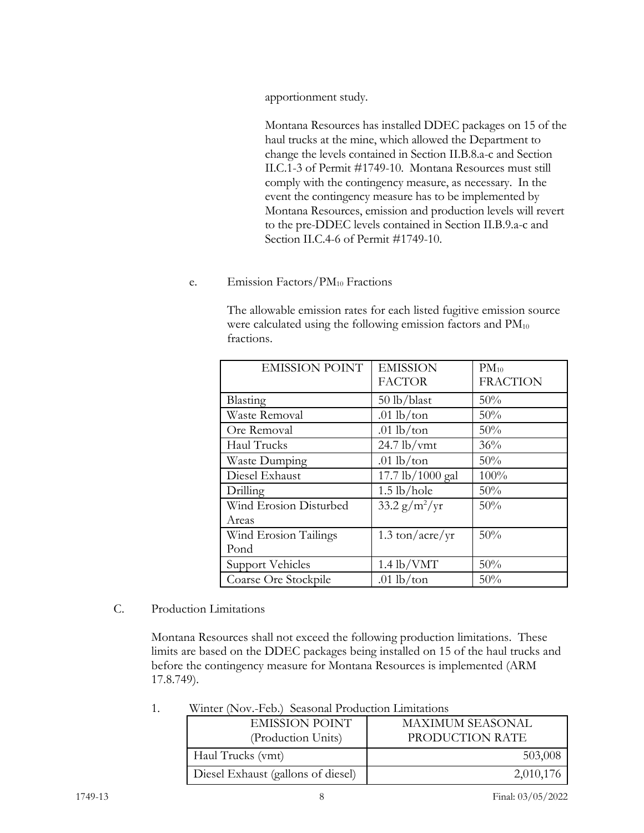apportionment study.

Montana Resources has installed DDEC packages on 15 of the haul trucks at the mine, which allowed the Department to change the levels contained in Section II.B.8.a-c and Section II.C.1-3 of Permit #1749-10. Montana Resources must still comply with the contingency measure, as necessary. In the event the contingency measure has to be implemented by Montana Resources, emission and production levels will revert to the pre-DDEC levels contained in Section II.B.9.a-c and Section II.C.4-6 of Permit #1749-10.

e. Emission Factors/PM<sub>10</sub> Fractions

The allowable emission rates for each listed fugitive emission source were calculated using the following emission factors and  $PM_{10}$ fractions.

| <b>EMISSION POINT</b>  | <b>EMISSION</b><br><b>FACTOR</b> | $PM_{10}$<br><b>FRACTION</b> |
|------------------------|----------------------------------|------------------------------|
| Blasting               | 50 lb/blast                      | 50%                          |
| <b>Waste Removal</b>   | .01 $lb$ /ton                    | 50%                          |
| Ore Removal            | .01 $lb$ /ton                    | $50\%$                       |
| Haul Trucks            | $24.7$ lb/vmt                    | 36%                          |
| Waste Dumping          | .01 $lb$ /ton                    | 50%                          |
| Diesel Exhaust         | 17.7 lb/1000 gal                 | 100%                         |
| Drilling               | $1.5$ lb/hole                    | 50%                          |
| Wind Erosion Disturbed | $33.2 \frac{g}{m^2}$ /yr         | 50%                          |
| Areas                  |                                  |                              |
| Wind Erosion Tailings  | $1.3 \text{ ton/acre/yr}$        | 50%                          |
| Pond                   |                                  |                              |
| Support Vehicles       | $1.4$ lb/VMT                     | 50%                          |
| Coarse Ore Stockpile   | .01 $lb$ /ton                    | 50%                          |

### C. Production Limitations

Montana Resources shall not exceed the following production limitations. These limits are based on the DDEC packages being installed on 15 of the haul trucks and before the contingency measure for Montana Resources is implemented (ARM 17.8.749).

| Winter (Nov.-Feb.) Seasonal Production Limitations |  |
|----------------------------------------------------|--|
|----------------------------------------------------|--|

| <b>EMISSION POINT</b><br>(Production Units) | <b>MAXIMUM SEASONAL</b><br>PRODUCTION RATE |
|---------------------------------------------|--------------------------------------------|
| Haul Trucks (vmt)                           | 503,008                                    |
| Diesel Exhaust (gallons of diesel)          | 2,010,176                                  |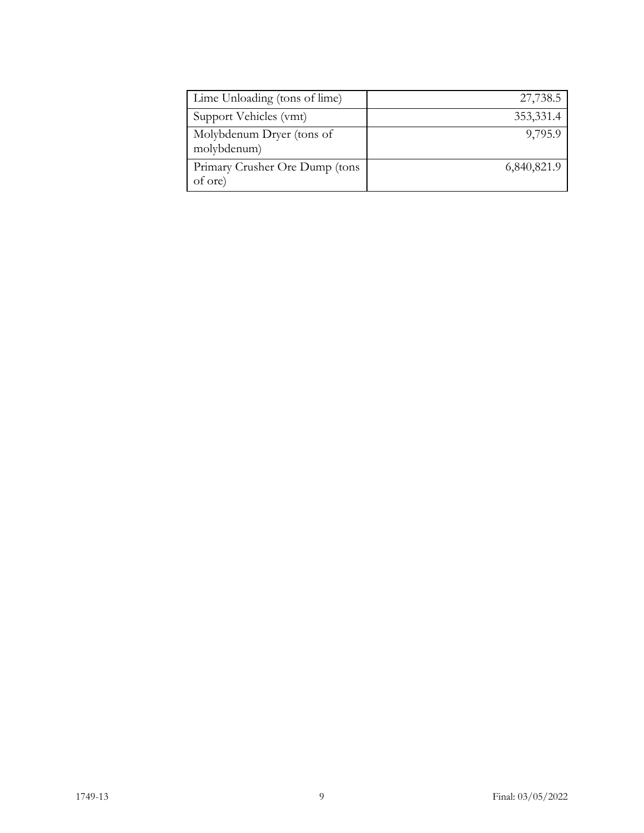| Lime Unloading (tons of lime)             | 27,738.5    |
|-------------------------------------------|-------------|
| Support Vehicles (vmt)                    | 353,331.4   |
| Molybdenum Dryer (tons of<br>molybdenum)  | 9,795.9     |
| Primary Crusher Ore Dump (tons<br>of ore) | 6,840,821.9 |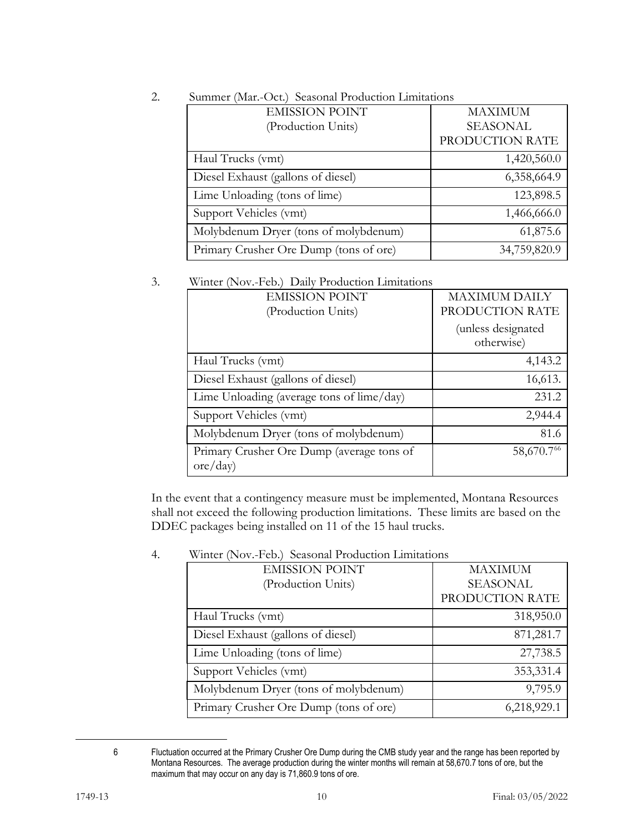| <b>EMISSION POINT</b><br>(Production Units) | <b>MAXIMUM</b><br><b>SEASONAL</b><br>PRODUCTION RATE |
|---------------------------------------------|------------------------------------------------------|
| Haul Trucks (vmt)                           | 1,420,560.0                                          |
| Diesel Exhaust (gallons of diesel)          | 6,358,664.9                                          |
| Lime Unloading (tons of lime)               | 123,898.5                                            |
| Support Vehicles (vmt)                      | 1,466,666.0                                          |
| Molybdenum Dryer (tons of molybdenum)       | 61,875.6                                             |
| Primary Crusher Ore Dump (tons of ore)      | 34,759,820.9                                         |

## 2. Summer (Mar.-Oct.) Seasonal Production Limitations

### 3. Winter (Nov.-Feb.) Daily Production Limitations

| <b>EMISSION POINT</b>                                 | <b>MAXIMUM DAILY</b>                                |
|-------------------------------------------------------|-----------------------------------------------------|
| (Production Units)                                    | PRODUCTION RATE<br>(unless designated<br>otherwise) |
|                                                       |                                                     |
| Haul Trucks (vmt)                                     | 4,143.2                                             |
| Diesel Exhaust (gallons of diesel)                    | 16,613.                                             |
| Lime Unloading (average tons of lime/day)             | 231.2                                               |
| Support Vehicles (vmt)                                | 2,944.4                                             |
| Molybdenum Dryer (tons of molybdenum)                 | 81.6                                                |
| Primary Crusher Ore Dump (average tons of<br>ore/day) | 58,670.76                                           |

In the event that a contingency measure must be implemented, Montana Resources shall not exceed the following production limitations. These limits are based on the DDEC packages being installed on 11 of the 15 haul trucks.

| <b>EMISSION POINT</b>                  | <b>MAXIMUM</b>  |
|----------------------------------------|-----------------|
| (Production Units)                     | <b>SEASONAL</b> |
|                                        | PRODUCTION RATE |
| Haul Trucks (vmt)                      | 318,950.0       |
| Diesel Exhaust (gallons of diesel)     | 871,281.7       |
| Lime Unloading (tons of lime)          | 27,738.5        |
| Support Vehicles (vmt)                 | 353,331.4       |
| Molybdenum Dryer (tons of molybdenum)  | 9,795.9         |
| Primary Crusher Ore Dump (tons of ore) | 6,218,929.1     |

### 4. Winter (Nov.-Feb.) Seasonal Production Limitations

<span id="page-11-0"></span>

<sup>6</sup> Fluctuation occurred at the Primary Crusher Ore Dump during the CMB study year and the range has been reported by Montana Resources. The average production during the winter months will remain at 58,670.7 tons of ore, but the maximum that may occur on any day is 71,860.9 tons of ore.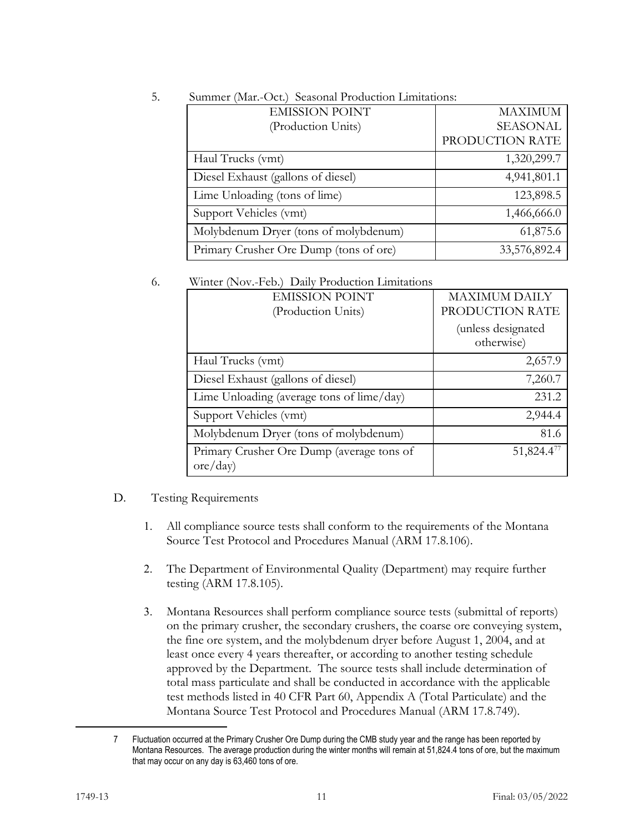| <b>EMISSION POINT</b>                  | <b>MAXIMUM</b>  |
|----------------------------------------|-----------------|
| (Production Units)                     | <b>SEASONAL</b> |
|                                        | PRODUCTION RATE |
| Haul Trucks (vmt)                      | 1,320,299.7     |
| Diesel Exhaust (gallons of diesel)     | 4,941,801.1     |
| Lime Unloading (tons of lime)          | 123,898.5       |
| Support Vehicles (vmt)                 | 1,466,666.0     |
| Molybdenum Dryer (tons of molybdenum)  | 61,875.6        |
| Primary Crusher Ore Dump (tons of ore) | 33,576,892.4    |

## 5. Summer (Mar.-Oct.) Seasonal Production Limitations:

#### 6. Winter (Nov.-Feb.) Daily Production Limitations

| $\frac{1}{2}$                                         |                                         |
|-------------------------------------------------------|-----------------------------------------|
| <b>EMISSION POINT</b><br>(Production Units)           | <b>MAXIMUM DAILY</b><br>PRODUCTION RATE |
|                                                       | (unless designated<br>otherwise)        |
| Haul Trucks (vmt)                                     | 2,657.9                                 |
| Diesel Exhaust (gallons of diesel)                    | 7,260.7                                 |
| Lime Unloading (average tons of lime/day)             | 231.2                                   |
| Support Vehicles (vmt)                                | 2,944.4                                 |
| Molybdenum Dryer (tons of molybdenum)                 | 81.6                                    |
| Primary Crusher Ore Dump (average tons of<br>ore/day) | 51,824.4 $^{77}$                        |

### D. Testing Requirements

- 1. All compliance source tests shall conform to the requirements of the Montana Source Test Protocol and Procedures Manual (ARM 17.8.106).
- 2. The Department of Environmental Quality (Department) may require further testing (ARM 17.8.105).
- 3. Montana Resources shall perform compliance source tests (submittal of reports) on the primary crusher, the secondary crushers, the coarse ore conveying system, the fine ore system, and the molybdenum dryer before August 1, 2004, and at least once every 4 years thereafter, or according to another testing schedule approved by the Department. The source tests shall include determination of total mass particulate and shall be conducted in accordance with the applicable test methods listed in 40 CFR Part 60, Appendix A (Total Particulate) and the Montana Source Test Protocol and Procedures Manual (ARM 17.8.749).

<span id="page-12-0"></span><sup>7</sup> Fluctuation occurred at the Primary Crusher Ore Dump during the CMB study year and the range has been reported by Montana Resources. The average production during the winter months will remain at 51,824.4 tons of ore, but the maximum that may occur on any day is 63,460 tons of ore.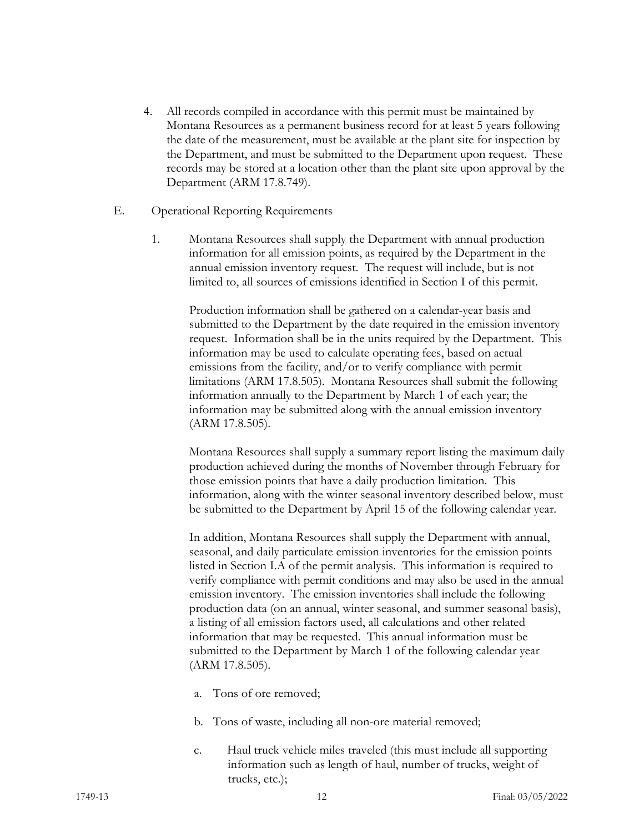- 4. All records compiled in accordance with this permit must be maintained by Montana Resources as a permanent business record for at least 5 years following the date of the measurement, must be available at the plant site for inspection by the Department, and must be submitted to the Department upon request. These records may be stored at a location other than the plant site upon approval by the Department (ARM 17.8.749).
- E. Operational Reporting Requirements
	- 1. Montana Resources shall supply the Department with annual production information for all emission points, as required by the Department in the annual emission inventory request. The request will include, but is not limited to, all sources of emissions identified in Section I of this permit.

Production information shall be gathered on a calendar-year basis and submitted to the Department by the date required in the emission inventory request. Information shall be in the units required by the Department. This information may be used to calculate operating fees, based on actual emissions from the facility, and/or to verify compliance with permit limitations (ARM 17.8.505). Montana Resources shall submit the following information annually to the Department by March 1 of each year; the information may be submitted along with the annual emission inventory (ARM 17.8.505).

Montana Resources shall supply a summary report listing the maximum daily production achieved during the months of November through February for those emission points that have a daily production limitation. This information, along with the winter seasonal inventory described below, must be submitted to the Department by April 15 of the following calendar year.

In addition, Montana Resources shall supply the Department with annual, seasonal, and daily particulate emission inventories for the emission points listed in Section I.A of the permit analysis. This information is required to verify compliance with permit conditions and may also be used in the annual emission inventory. The emission inventories shall include the following production data (on an annual, winter seasonal, and summer seasonal basis), a listing of all emission factors used, all calculations and other related information that may be requested. This annual information must be submitted to the Department by March 1 of the following calendar year (ARM 17.8.505).

- a. Tons of ore removed;
- b. Tons of waste, including all non-ore material removed;
- c. Haul truck vehicle miles traveled (this must include all supporting information such as length of haul, number of trucks, weight of trucks, etc.);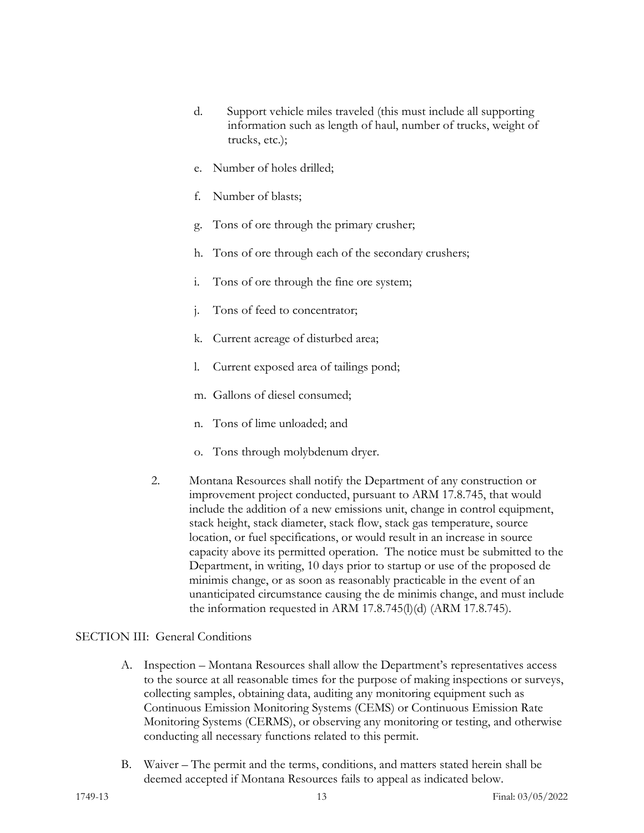- d. Support vehicle miles traveled (this must include all supporting information such as length of haul, number of trucks, weight of trucks, etc.);
- e. Number of holes drilled;
- f. Number of blasts;
- g. Tons of ore through the primary crusher;
- h. Tons of ore through each of the secondary crushers;
- i. Tons of ore through the fine ore system;
- j. Tons of feed to concentrator;
- k. Current acreage of disturbed area;
- l. Current exposed area of tailings pond;
- m. Gallons of diesel consumed;
- n. Tons of lime unloaded; and
- o. Tons through molybdenum dryer.
- 2. Montana Resources shall notify the Department of any construction or improvement project conducted, pursuant to ARM 17.8.745, that would include the addition of a new emissions unit, change in control equipment, stack height, stack diameter, stack flow, stack gas temperature, source location, or fuel specifications, or would result in an increase in source capacity above its permitted operation. The notice must be submitted to the Department, in writing, 10 days prior to startup or use of the proposed de minimis change, or as soon as reasonably practicable in the event of an unanticipated circumstance causing the de minimis change, and must include the information requested in ARM 17.8.745(l)(d) (ARM 17.8.745).

#### SECTION III: General Conditions

- A. Inspection Montana Resources shall allow the Department's representatives access to the source at all reasonable times for the purpose of making inspections or surveys, collecting samples, obtaining data, auditing any monitoring equipment such as Continuous Emission Monitoring Systems (CEMS) or Continuous Emission Rate Monitoring Systems (CERMS), or observing any monitoring or testing, and otherwise conducting all necessary functions related to this permit.
- B. Waiver The permit and the terms, conditions, and matters stated herein shall be deemed accepted if Montana Resources fails to appeal as indicated below.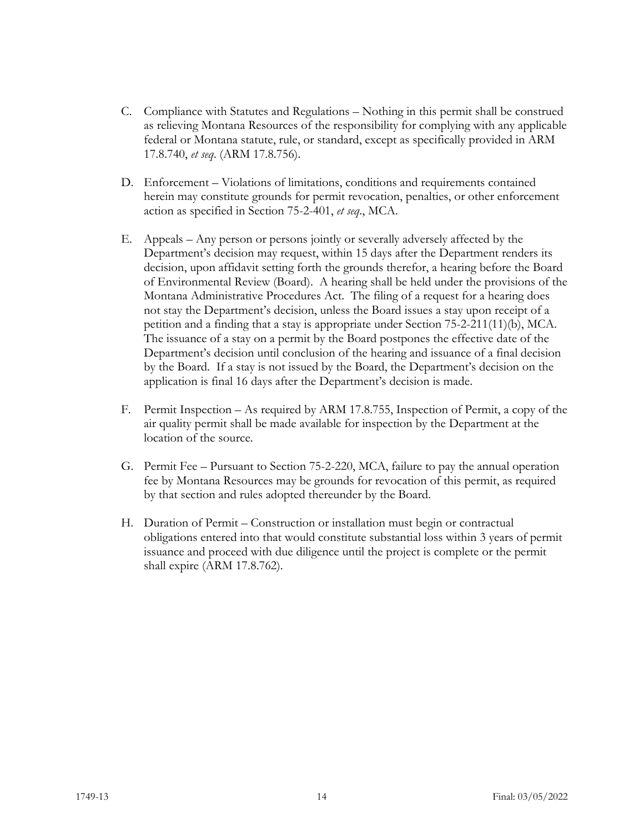- C. Compliance with Statutes and Regulations Nothing in this permit shall be construed as relieving Montana Resources of the responsibility for complying with any applicable federal or Montana statute, rule, or standard, except as specifically provided in ARM 17.8.740, *et seq*. (ARM 17.8.756).
- D. Enforcement Violations of limitations, conditions and requirements contained herein may constitute grounds for permit revocation, penalties, or other enforcement action as specified in Section 75-2-401, *et seq*., MCA.
- E. Appeals Any person or persons jointly or severally adversely affected by the Department's decision may request, within 15 days after the Department renders its decision, upon affidavit setting forth the grounds therefor, a hearing before the Board of Environmental Review (Board). A hearing shall be held under the provisions of the Montana Administrative Procedures Act. The filing of a request for a hearing does not stay the Department's decision, unless the Board issues a stay upon receipt of a petition and a finding that a stay is appropriate under Section 75-2-211(11)(b), MCA. The issuance of a stay on a permit by the Board postpones the effective date of the Department's decision until conclusion of the hearing and issuance of a final decision by the Board. If a stay is not issued by the Board, the Department's decision on the application is final 16 days after the Department's decision is made.
- F. Permit Inspection As required by ARM 17.8.755, Inspection of Permit, a copy of the air quality permit shall be made available for inspection by the Department at the location of the source.
- G. Permit Fee Pursuant to Section 75-2-220, MCA, failure to pay the annual operation fee by Montana Resources may be grounds for revocation of this permit, as required by that section and rules adopted thereunder by the Board.
- H. Duration of Permit Construction or installation must begin or contractual obligations entered into that would constitute substantial loss within 3 years of permit issuance and proceed with due diligence until the project is complete or the permit shall expire (ARM 17.8.762).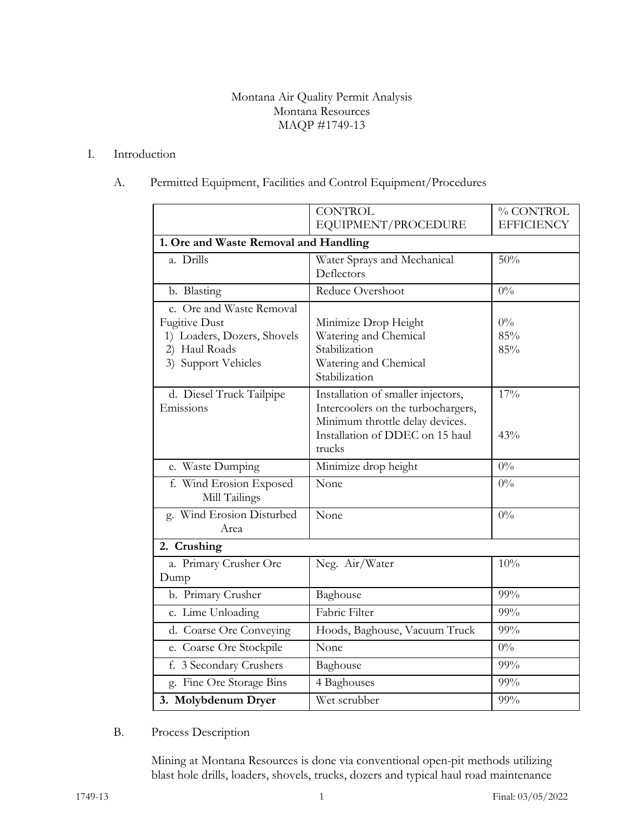#### Montana Air Quality Permit Analysis Montana Resources MAQP #1749-13

#### I. Introduction

## A. Permitted Equipment, Facilities and Control Equipment/Procedures

|                                                                                                                         | <b>CONTROL</b><br>EQUIPMENT/PROCEDURE                                                                                                                    | % CONTROL<br><b>EFFICIENCY</b> |  |
|-------------------------------------------------------------------------------------------------------------------------|----------------------------------------------------------------------------------------------------------------------------------------------------------|--------------------------------|--|
| 1. Ore and Waste Removal and Handling                                                                                   |                                                                                                                                                          |                                |  |
| a. Drills                                                                                                               | Water Sprays and Mechanical<br>Deflectors                                                                                                                | 50%                            |  |
| b. Blasting                                                                                                             | Reduce Overshoot                                                                                                                                         | $0\%$                          |  |
| c. Ore and Waste Removal<br><b>Fugitive Dust</b><br>1) Loaders, Dozers, Shovels<br>2) Haul Roads<br>3) Support Vehicles | Minimize Drop Height<br>Watering and Chemical<br>Stabilization<br>Watering and Chemical<br>Stabilization                                                 | $0\%$<br>85%<br>85%            |  |
| d. Diesel Truck Tailpipe<br>Emissions                                                                                   | Installation of smaller injectors,<br>Intercoolers on the turbochargers,<br>Minimum throttle delay devices.<br>Installation of DDEC on 15 haul<br>trucks | 17%<br>43%                     |  |
| e. Waste Dumping                                                                                                        | Minimize drop height                                                                                                                                     | $0\%$                          |  |
| f. Wind Erosion Exposed<br>Mill Tailings                                                                                | None                                                                                                                                                     | $0\%$                          |  |
| g. Wind Erosion Disturbed<br>Area                                                                                       | None                                                                                                                                                     | $0\%$                          |  |
| 2. Crushing                                                                                                             |                                                                                                                                                          |                                |  |
| a. Primary Crusher Ore<br>Dump                                                                                          | Neg. Air/Water                                                                                                                                           | 10%                            |  |
| b. Primary Crusher                                                                                                      | Baghouse                                                                                                                                                 | 99%                            |  |
| c. Lime Unloading                                                                                                       | Fabric Filter                                                                                                                                            | 99%                            |  |
| d. Coarse Ore Conveying                                                                                                 | Hoods, Baghouse, Vacuum Truck                                                                                                                            | 99%                            |  |
| e. Coarse Ore Stockpile                                                                                                 | None                                                                                                                                                     | $0\%$                          |  |
| f. 3 Secondary Crushers                                                                                                 | Baghouse                                                                                                                                                 | 99%                            |  |
| g. Fine Ore Storage Bins                                                                                                | 4 Baghouses                                                                                                                                              | 99%                            |  |
| 3. Molybdenum Dryer                                                                                                     | Wet scrubber                                                                                                                                             | 99%                            |  |

#### B. Process Description

Mining at Montana Resources is done via conventional open-pit methods utilizing blast hole drills, loaders, shovels, trucks, dozers and typical haul road maintenance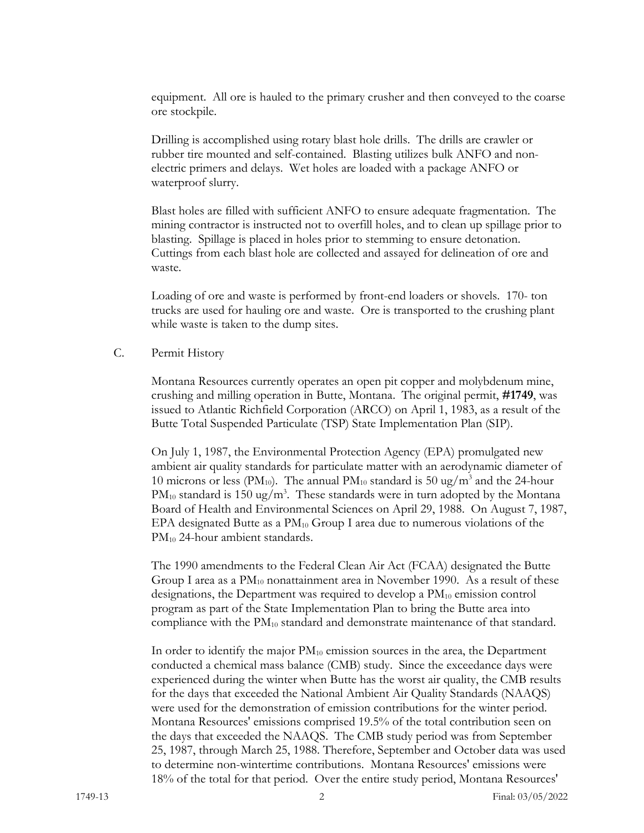equipment. All ore is hauled to the primary crusher and then conveyed to the coarse ore stockpile.

Drilling is accomplished using rotary blast hole drills. The drills are crawler or rubber tire mounted and self-contained. Blasting utilizes bulk ANFO and nonelectric primers and delays. Wet holes are loaded with a package ANFO or waterproof slurry.

Blast holes are filled with sufficient ANFO to ensure adequate fragmentation. The mining contractor is instructed not to overfill holes, and to clean up spillage prior to blasting. Spillage is placed in holes prior to stemming to ensure detonation. Cuttings from each blast hole are collected and assayed for delineation of ore and waste.

Loading of ore and waste is performed by front-end loaders or shovels. 170- ton trucks are used for hauling ore and waste. Ore is transported to the crushing plant while waste is taken to the dump sites.

#### C. Permit History

Montana Resources currently operates an open pit copper and molybdenum mine, crushing and milling operation in Butte, Montana. The original permit, **#1749**, was issued to Atlantic Richfield Corporation (ARCO) on April 1, 1983, as a result of the Butte Total Suspended Particulate (TSP) State Implementation Plan (SIP).

On July 1, 1987, the Environmental Protection Agency (EPA) promulgated new ambient air quality standards for particulate matter with an aerodynamic diameter of 10 microns or less (PM<sub>10</sub>). The annual PM<sub>10</sub> standard is 50 ug/m<sup>3</sup> and the 24-hour  $PM_{10}$  standard is 150 ug/m<sup>3</sup>. These standards were in turn adopted by the Montana Board of Health and Environmental Sciences on April 29, 1988. On August 7, 1987, EPA designated Butte as a  $PM_{10}$  Group I area due to numerous violations of the PM<sub>10</sub> 24-hour ambient standards.

The 1990 amendments to the Federal Clean Air Act (FCAA) designated the Butte Group I area as a  $PM_{10}$  nonattainment area in November 1990. As a result of these designations, the Department was required to develop a PM<sub>10</sub> emission control program as part of the State Implementation Plan to bring the Butte area into compliance with the PM10 standard and demonstrate maintenance of that standard.

In order to identify the major  $PM_{10}$  emission sources in the area, the Department conducted a chemical mass balance (CMB) study. Since the exceedance days were experienced during the winter when Butte has the worst air quality, the CMB results for the days that exceeded the National Ambient Air Quality Standards (NAAQS) were used for the demonstration of emission contributions for the winter period. Montana Resources' emissions comprised 19.5% of the total contribution seen on the days that exceeded the NAAQS. The CMB study period was from September 25, 1987, through March 25, 1988. Therefore, September and October data was used to determine non-wintertime contributions. Montana Resources' emissions were 18% of the total for that period. Over the entire study period, Montana Resources'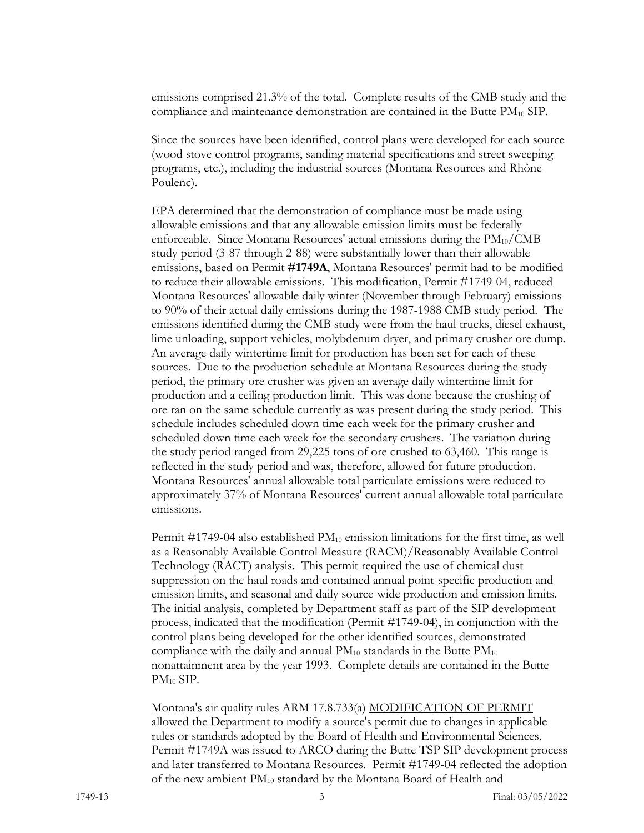emissions comprised 21.3% of the total. Complete results of the CMB study and the compliance and maintenance demonstration are contained in the Butte PM10 SIP.

Since the sources have been identified, control plans were developed for each source (wood stove control programs, sanding material specifications and street sweeping programs, etc.), including the industrial sources (Montana Resources and Rhône-Poulenc).

EPA determined that the demonstration of compliance must be made using allowable emissions and that any allowable emission limits must be federally enforceable. Since Montana Resources' actual emissions during the  $PM_{10}/CMB$ study period (3-87 through 2-88) were substantially lower than their allowable emissions, based on Permit **#1749A**, Montana Resources' permit had to be modified to reduce their allowable emissions. This modification, Permit #1749-04, reduced Montana Resources' allowable daily winter (November through February) emissions to 90% of their actual daily emissions during the 1987-1988 CMB study period. The emissions identified during the CMB study were from the haul trucks, diesel exhaust, lime unloading, support vehicles, molybdenum dryer, and primary crusher ore dump. An average daily wintertime limit for production has been set for each of these sources. Due to the production schedule at Montana Resources during the study period, the primary ore crusher was given an average daily wintertime limit for production and a ceiling production limit. This was done because the crushing of ore ran on the same schedule currently as was present during the study period. This schedule includes scheduled down time each week for the primary crusher and scheduled down time each week for the secondary crushers. The variation during the study period ranged from 29,225 tons of ore crushed to 63,460. This range is reflected in the study period and was, therefore, allowed for future production. Montana Resources' annual allowable total particulate emissions were reduced to approximately 37% of Montana Resources' current annual allowable total particulate emissions.

Permit #1749-04 also established PM10 emission limitations for the first time, as well as a Reasonably Available Control Measure (RACM)/Reasonably Available Control Technology (RACT) analysis. This permit required the use of chemical dust suppression on the haul roads and contained annual point-specific production and emission limits, and seasonal and daily source-wide production and emission limits. The initial analysis, completed by Department staff as part of the SIP development process, indicated that the modification (Permit #1749-04), in conjunction with the control plans being developed for the other identified sources, demonstrated compliance with the daily and annual  $PM_{10}$  standards in the Butte  $PM_{10}$ nonattainment area by the year 1993. Complete details are contained in the Butte PM10 SIP.

Montana's air quality rules ARM 17.8.733(a) MODIFICATION OF PERMIT allowed the Department to modify a source's permit due to changes in applicable rules or standards adopted by the Board of Health and Environmental Sciences. Permit #1749A was issued to ARCO during the Butte TSP SIP development process and later transferred to Montana Resources. Permit #1749-04 reflected the adoption of the new ambient PM10 standard by the Montana Board of Health and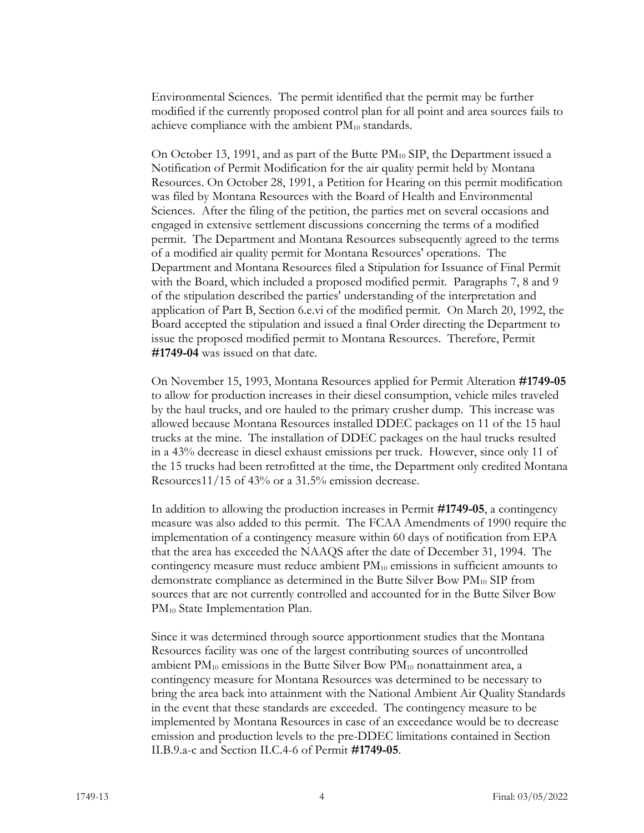Environmental Sciences. The permit identified that the permit may be further modified if the currently proposed control plan for all point and area sources fails to achieve compliance with the ambient  $PM_{10}$  standards.

On October 13, 1991, and as part of the Butte  $PM_{10}$  SIP, the Department issued a Notification of Permit Modification for the air quality permit held by Montana Resources. On October 28, 1991, a Petition for Hearing on this permit modification was filed by Montana Resources with the Board of Health and Environmental Sciences. After the filing of the petition, the parties met on several occasions and engaged in extensive settlement discussions concerning the terms of a modified permit. The Department and Montana Resources subsequently agreed to the terms of a modified air quality permit for Montana Resources' operations. The Department and Montana Resources filed a Stipulation for Issuance of Final Permit with the Board, which included a proposed modified permit. Paragraphs 7, 8 and 9 of the stipulation described the parties' understanding of the interpretation and application of Part B, Section 6.e.vi of the modified permit. On March 20, 1992, the Board accepted the stipulation and issued a final Order directing the Department to issue the proposed modified permit to Montana Resources. Therefore, Permit **#1749-04** was issued on that date.

On November 15, 1993, Montana Resources applied for Permit Alteration **#1749-05** to allow for production increases in their diesel consumption, vehicle miles traveled by the haul trucks, and ore hauled to the primary crusher dump. This increase was allowed because Montana Resources installed DDEC packages on 11 of the 15 haul trucks at the mine. The installation of DDEC packages on the haul trucks resulted in a 43% decrease in diesel exhaust emissions per truck. However, since only 11 of the 15 trucks had been retrofitted at the time, the Department only credited Montana Resources11/15 of 43% or a 31.5% emission decrease.

In addition to allowing the production increases in Permit **#1749-05**, a contingency measure was also added to this permit. The FCAA Amendments of 1990 require the implementation of a contingency measure within 60 days of notification from EPA that the area has exceeded the NAAQS after the date of December 31, 1994. The contingency measure must reduce ambient PM10 emissions in sufficient amounts to demonstrate compliance as determined in the Butte Silver Bow  $PM_{10}$  SIP from sources that are not currently controlled and accounted for in the Butte Silver Bow PM<sub>10</sub> State Implementation Plan.

Since it was determined through source apportionment studies that the Montana Resources facility was one of the largest contributing sources of uncontrolled ambient  $PM_{10}$  emissions in the Butte Silver Bow  $PM_{10}$  nonattainment area, a contingency measure for Montana Resources was determined to be necessary to bring the area back into attainment with the National Ambient Air Quality Standards in the event that these standards are exceeded. The contingency measure to be implemented by Montana Resources in case of an exceedance would be to decrease emission and production levels to the pre-DDEC limitations contained in Section II.B.9.a-c and Section II.C.4-6 of Permit **#1749-05**.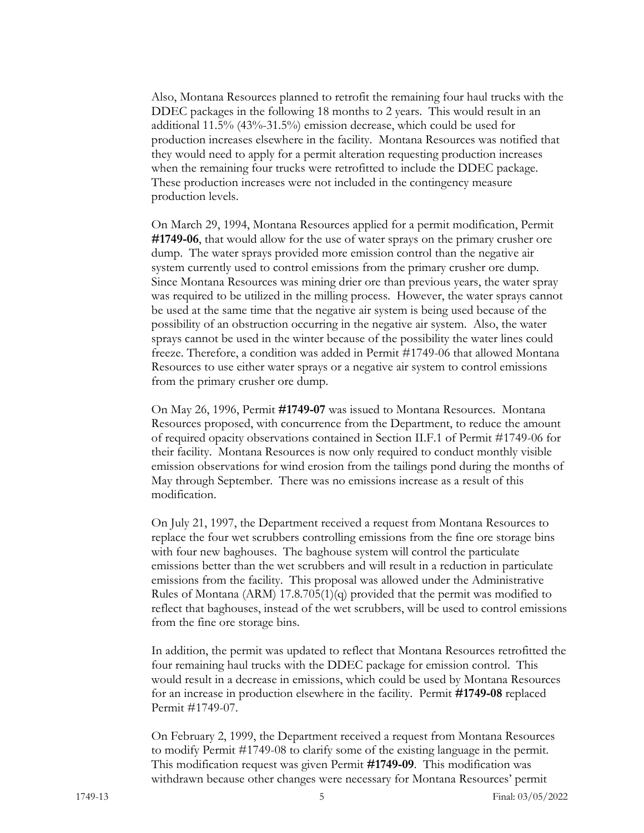Also, Montana Resources planned to retrofit the remaining four haul trucks with the DDEC packages in the following 18 months to 2 years. This would result in an additional 11.5% (43%-31.5%) emission decrease, which could be used for production increases elsewhere in the facility. Montana Resources was notified that they would need to apply for a permit alteration requesting production increases when the remaining four trucks were retrofitted to include the DDEC package. These production increases were not included in the contingency measure production levels.

On March 29, 1994, Montana Resources applied for a permit modification, Permit **#1749-06**, that would allow for the use of water sprays on the primary crusher ore dump. The water sprays provided more emission control than the negative air system currently used to control emissions from the primary crusher ore dump. Since Montana Resources was mining drier ore than previous years, the water spray was required to be utilized in the milling process. However, the water sprays cannot be used at the same time that the negative air system is being used because of the possibility of an obstruction occurring in the negative air system. Also, the water sprays cannot be used in the winter because of the possibility the water lines could freeze. Therefore, a condition was added in Permit #1749-06 that allowed Montana Resources to use either water sprays or a negative air system to control emissions from the primary crusher ore dump.

On May 26, 1996, Permit **#1749-07** was issued to Montana Resources. Montana Resources proposed, with concurrence from the Department, to reduce the amount of required opacity observations contained in Section II.F.1 of Permit #1749-06 for their facility. Montana Resources is now only required to conduct monthly visible emission observations for wind erosion from the tailings pond during the months of May through September. There was no emissions increase as a result of this modification.

On July 21, 1997, the Department received a request from Montana Resources to replace the four wet scrubbers controlling emissions from the fine ore storage bins with four new baghouses. The baghouse system will control the particulate emissions better than the wet scrubbers and will result in a reduction in particulate emissions from the facility. This proposal was allowed under the Administrative Rules of Montana (ARM) 17.8.705(1)(q) provided that the permit was modified to reflect that baghouses, instead of the wet scrubbers, will be used to control emissions from the fine ore storage bins.

In addition, the permit was updated to reflect that Montana Resources retrofitted the four remaining haul trucks with the DDEC package for emission control. This would result in a decrease in emissions, which could be used by Montana Resources for an increase in production elsewhere in the facility. Permit **#1749-08** replaced Permit #1749-07.

On February 2, 1999, the Department received a request from Montana Resources to modify Permit #1749-08 to clarify some of the existing language in the permit. This modification request was given Permit **#1749-09**. This modification was withdrawn because other changes were necessary for Montana Resources' permit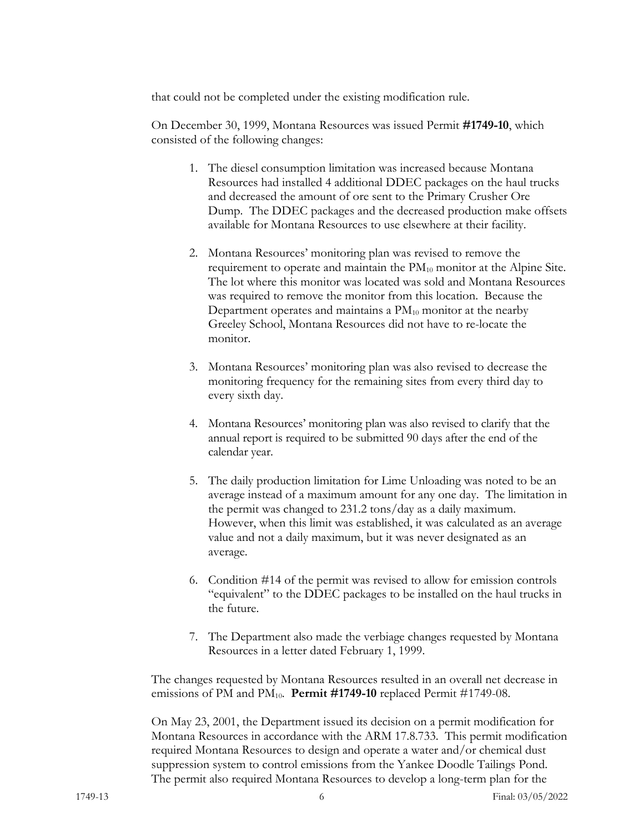that could not be completed under the existing modification rule.

On December 30, 1999, Montana Resources was issued Permit **#1749-10**, which consisted of the following changes:

- 1. The diesel consumption limitation was increased because Montana Resources had installed 4 additional DDEC packages on the haul trucks and decreased the amount of ore sent to the Primary Crusher Ore Dump. The DDEC packages and the decreased production make offsets available for Montana Resources to use elsewhere at their facility.
- 2. Montana Resources' monitoring plan was revised to remove the requirement to operate and maintain the  $PM_{10}$  monitor at the Alpine Site. The lot where this monitor was located was sold and Montana Resources was required to remove the monitor from this location. Because the Department operates and maintains a  $PM_{10}$  monitor at the nearby Greeley School, Montana Resources did not have to re-locate the monitor.
- 3. Montana Resources' monitoring plan was also revised to decrease the monitoring frequency for the remaining sites from every third day to every sixth day.
- 4. Montana Resources' monitoring plan was also revised to clarify that the annual report is required to be submitted 90 days after the end of the calendar year.
- 5. The daily production limitation for Lime Unloading was noted to be an average instead of a maximum amount for any one day. The limitation in the permit was changed to 231.2 tons/day as a daily maximum. However, when this limit was established, it was calculated as an average value and not a daily maximum, but it was never designated as an average.
- 6. Condition #14 of the permit was revised to allow for emission controls "equivalent" to the DDEC packages to be installed on the haul trucks in the future.
- 7. The Department also made the verbiage changes requested by Montana Resources in a letter dated February 1, 1999.

The changes requested by Montana Resources resulted in an overall net decrease in emissions of PM and PM<sub>10</sub>. **Permit #1749-10** replaced Permit #1749-08.

On May 23, 2001, the Department issued its decision on a permit modification for Montana Resources in accordance with the ARM 17.8.733. This permit modification required Montana Resources to design and operate a water and/or chemical dust suppression system to control emissions from the Yankee Doodle Tailings Pond. The permit also required Montana Resources to develop a long-term plan for the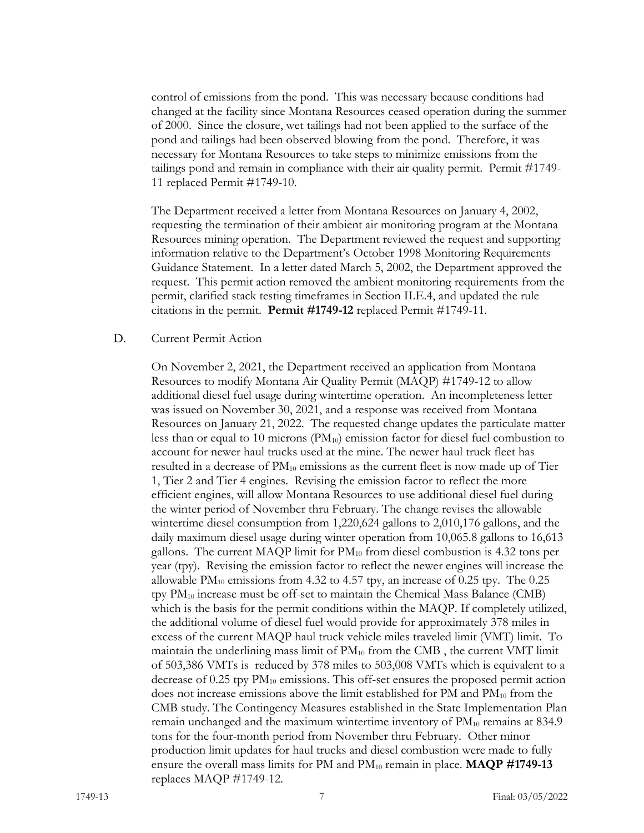control of emissions from the pond. This was necessary because conditions had changed at the facility since Montana Resources ceased operation during the summer of 2000. Since the closure, wet tailings had not been applied to the surface of the pond and tailings had been observed blowing from the pond. Therefore, it was necessary for Montana Resources to take steps to minimize emissions from the tailings pond and remain in compliance with their air quality permit. Permit #1749- 11 replaced Permit #1749-10.

The Department received a letter from Montana Resources on January 4, 2002, requesting the termination of their ambient air monitoring program at the Montana Resources mining operation. The Department reviewed the request and supporting information relative to the Department's October 1998 Monitoring Requirements Guidance Statement. In a letter dated March 5, 2002, the Department approved the request. This permit action removed the ambient monitoring requirements from the permit, clarified stack testing timeframes in Section II.E.4, and updated the rule citations in the permit. **Permit #1749-12** replaced Permit #1749-11.

#### D. Current Permit Action

On November 2, 2021, the Department received an application from Montana Resources to modify Montana Air Quality Permit (MAQP) #1749-12 to allow additional diesel fuel usage during wintertime operation. An incompleteness letter was issued on November 30, 2021, and a response was received from Montana Resources on January 21, 2022. The requested change updates the particulate matter less than or equal to 10 microns  $(PM_{10})$  emission factor for diesel fuel combustion to account for newer haul trucks used at the mine. The newer haul truck fleet has resulted in a decrease of  $PM_{10}$  emissions as the current fleet is now made up of Tier 1, Tier 2 and Tier 4 engines. Revising the emission factor to reflect the more efficient engines, will allow Montana Resources to use additional diesel fuel during the winter period of November thru February. The change revises the allowable wintertime diesel consumption from 1,220,624 gallons to 2,010,176 gallons, and the daily maximum diesel usage during winter operation from 10,065.8 gallons to 16,613 gallons. The current MAQP limit for  $PM_{10}$  from diesel combustion is 4.32 tons per year (tpy). Revising the emission factor to reflect the newer engines will increase the allowable  $PM_{10}$  emissions from 4.32 to 4.57 tpy, an increase of 0.25 tpy. The 0.25 tpy  $PM_{10}$  increase must be off-set to maintain the Chemical Mass Balance (CMB) which is the basis for the permit conditions within the MAQP. If completely utilized, the additional volume of diesel fuel would provide for approximately 378 miles in excess of the current MAQP haul truck vehicle miles traveled limit (VMT) limit. To maintain the underlining mass limit of  $PM_{10}$  from the CMB, the current VMT limit of 503,386 VMTs is reduced by 378 miles to 503,008 VMTs which is equivalent to a decrease of  $0.25$  tpy  $PM_{10}$  emissions. This off-set ensures the proposed permit action does not increase emissions above the limit established for PM and  $PM_{10}$  from the CMB study. The Contingency Measures established in the State Implementation Plan remain unchanged and the maximum wintertime inventory of  $PM_{10}$  remains at 834.9 tons for the four-month period from November thru February. Other minor production limit updates for haul trucks and diesel combustion were made to fully ensure the overall mass limits for PM and  $PM_{10}$  remain in place. **MAQP #1749-13** replaces MAQP #1749-12.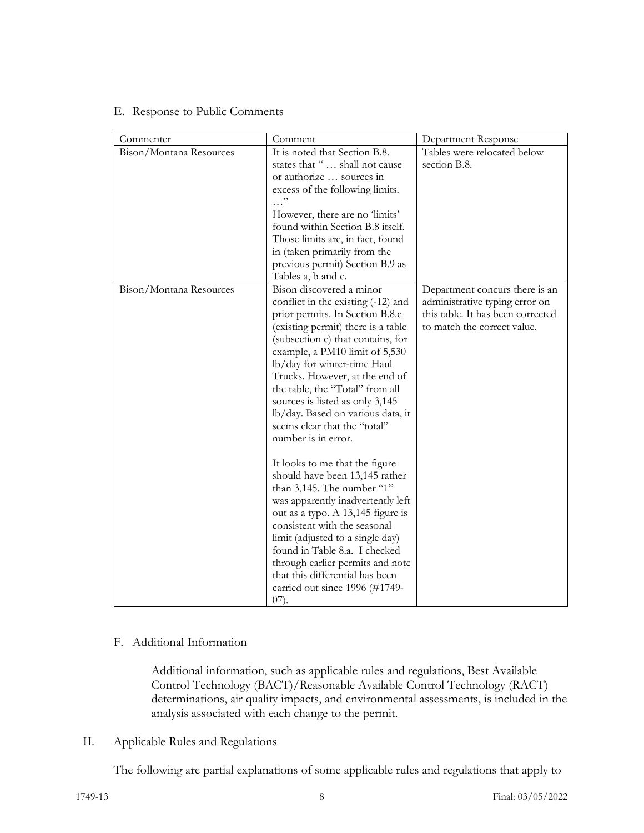#### E. Response to Public Comments

| Commenter               | Comment                                                                                                                                                                                                                                                                                                                                                                                                                                                                                                                                                                                                                                                                                                                                                                                                                                                 | Department Response                                                                                                                  |
|-------------------------|---------------------------------------------------------------------------------------------------------------------------------------------------------------------------------------------------------------------------------------------------------------------------------------------------------------------------------------------------------------------------------------------------------------------------------------------------------------------------------------------------------------------------------------------------------------------------------------------------------------------------------------------------------------------------------------------------------------------------------------------------------------------------------------------------------------------------------------------------------|--------------------------------------------------------------------------------------------------------------------------------------|
| Bison/Montana Resources | It is noted that Section B.8.<br>states that "  shall not cause<br>or authorize  sources in<br>excess of the following limits.<br>However, there are no 'limits'<br>found within Section B.8 itself.<br>Those limits are, in fact, found<br>in (taken primarily from the<br>previous permit) Section B.9 as<br>Tables a, b and c.                                                                                                                                                                                                                                                                                                                                                                                                                                                                                                                       | Tables were relocated below<br>section B.8.                                                                                          |
| Bison/Montana Resources | Bison discovered a minor<br>conflict in the existing (-12) and<br>prior permits. In Section B.8.c<br>(existing permit) there is a table<br>(subsection c) that contains, for<br>example, a PM10 limit of 5,530<br>lb/day for winter-time Haul<br>Trucks. However, at the end of<br>the table, the "Total" from all<br>sources is listed as only 3,145<br>lb/day. Based on various data, it<br>seems clear that the "total"<br>number is in error.<br>It looks to me that the figure<br>should have been 13,145 rather<br>than 3,145. The number "1"<br>was apparently inadvertently left<br>out as a typo. A 13,145 figure is<br>consistent with the seasonal<br>limit (adjusted to a single day)<br>found in Table 8.a. I checked<br>through earlier permits and note<br>that this differential has been<br>carried out since 1996 (#1749-<br>$(07)$ . | Department concurs there is an<br>administrative typing error on<br>this table. It has been corrected<br>to match the correct value. |

#### F. Additional Information

Additional information, such as applicable rules and regulations, Best Available Control Technology (BACT)/Reasonable Available Control Technology (RACT) determinations, air quality impacts, and environmental assessments, is included in the analysis associated with each change to the permit.

#### II. Applicable Rules and Regulations

The following are partial explanations of some applicable rules and regulations that apply to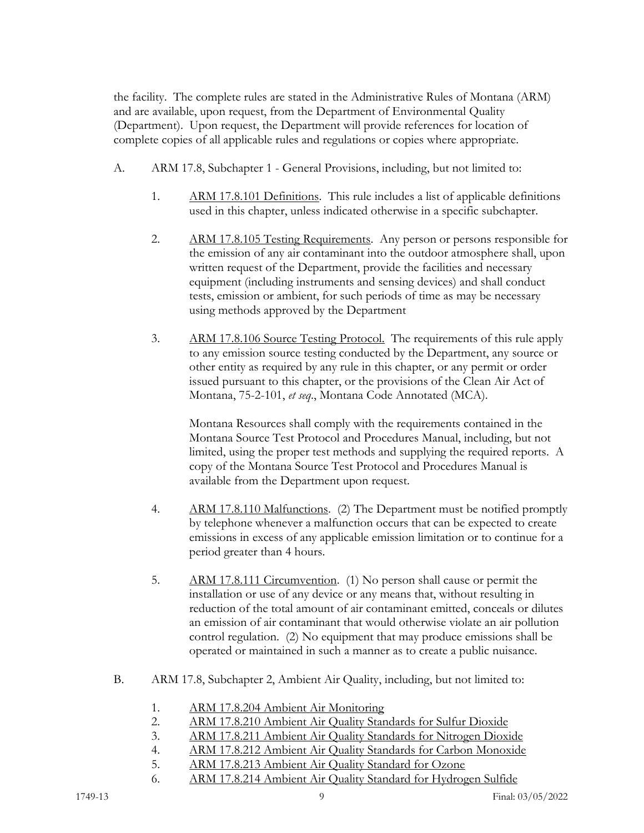the facility. The complete rules are stated in the Administrative Rules of Montana (ARM) and are available, upon request, from the Department of Environmental Quality (Department). Upon request, the Department will provide references for location of complete copies of all applicable rules and regulations or copies where appropriate.

- A. ARM 17.8, Subchapter 1 General Provisions, including, but not limited to:
	- 1. ARM 17.8.101 Definitions. This rule includes a list of applicable definitions used in this chapter, unless indicated otherwise in a specific subchapter.
	- 2. ARM 17.8.105 Testing Requirements. Any person or persons responsible for the emission of any air contaminant into the outdoor atmosphere shall, upon written request of the Department, provide the facilities and necessary equipment (including instruments and sensing devices) and shall conduct tests, emission or ambient, for such periods of time as may be necessary using methods approved by the Department
	- 3. ARM 17.8.106 Source Testing Protocol. The requirements of this rule apply to any emission source testing conducted by the Department, any source or other entity as required by any rule in this chapter, or any permit or order issued pursuant to this chapter, or the provisions of the Clean Air Act of Montana, 75-2-101, *et seq*., Montana Code Annotated (MCA).

Montana Resources shall comply with the requirements contained in the Montana Source Test Protocol and Procedures Manual, including, but not limited, using the proper test methods and supplying the required reports. A copy of the Montana Source Test Protocol and Procedures Manual is available from the Department upon request.

- 4. ARM 17.8.110 Malfunctions. (2) The Department must be notified promptly by telephone whenever a malfunction occurs that can be expected to create emissions in excess of any applicable emission limitation or to continue for a period greater than 4 hours.
- 5. ARM 17.8.111 Circumvention. (1) No person shall cause or permit the installation or use of any device or any means that, without resulting in reduction of the total amount of air contaminant emitted, conceals or dilutes an emission of air contaminant that would otherwise violate an air pollution control regulation. (2) No equipment that may produce emissions shall be operated or maintained in such a manner as to create a public nuisance.
- B. ARM 17.8, Subchapter 2, Ambient Air Quality, including, but not limited to:
	- 1. ARM 17.8.204 Ambient Air Monitoring
	- 2. ARM 17.8.210 Ambient Air Quality Standards for Sulfur Dioxide
	- 3. ARM 17.8.211 Ambient Air Quality Standards for Nitrogen Dioxide
	- 4. ARM 17.8.212 Ambient Air Quality Standards for Carbon Monoxide
	- 5. ARM 17.8.213 Ambient Air Quality Standard for Ozone
	- 6. ARM 17.8.214 Ambient Air Quality Standard for Hydrogen Sulfide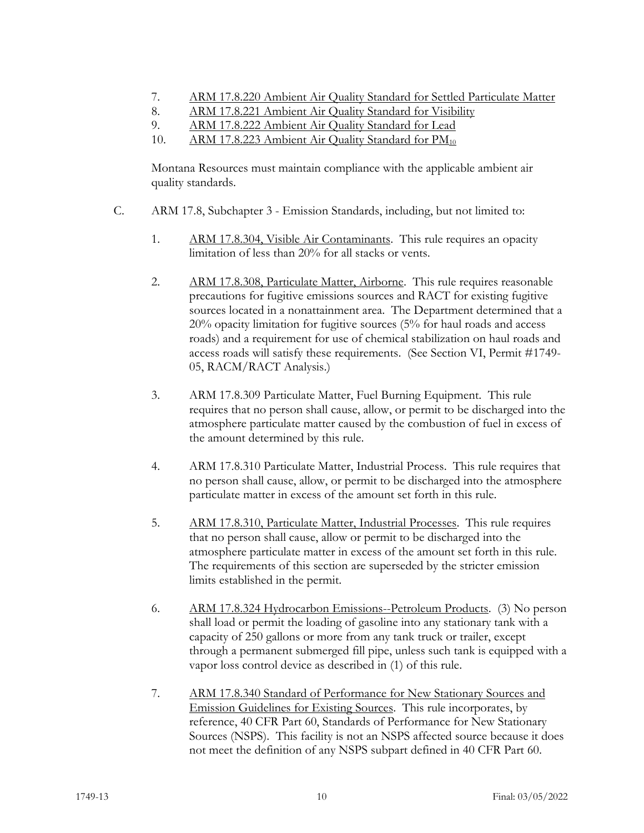- 7. ARM 17.8.220 Ambient Air Quality Standard for Settled Particulate Matter
- 8. ARM 17.8.221 Ambient Air Quality Standard for Visibility
- 9. ARM 17.8.222 Ambient Air Quality Standard for Lead
- 10. ARM 17.8.223 Ambient Air Quality Standard for PM<sub>10</sub>

Montana Resources must maintain compliance with the applicable ambient air quality standards.

- C. ARM 17.8, Subchapter 3 Emission Standards, including, but not limited to:
	- 1. ARM 17.8.304, Visible Air Contaminants. This rule requires an opacity limitation of less than 20% for all stacks or vents.
	- 2. ARM 17.8.308, Particulate Matter, Airborne. This rule requires reasonable precautions for fugitive emissions sources and RACT for existing fugitive sources located in a nonattainment area. The Department determined that a 20% opacity limitation for fugitive sources (5% for haul roads and access roads) and a requirement for use of chemical stabilization on haul roads and access roads will satisfy these requirements. (See Section VI, Permit #1749- 05, RACM/RACT Analysis.)
	- 3. ARM 17.8.309 Particulate Matter, Fuel Burning Equipment. This rule requires that no person shall cause, allow, or permit to be discharged into the atmosphere particulate matter caused by the combustion of fuel in excess of the amount determined by this rule.
	- 4. ARM 17.8.310 Particulate Matter, Industrial Process. This rule requires that no person shall cause, allow, or permit to be discharged into the atmosphere particulate matter in excess of the amount set forth in this rule.
	- 5. ARM 17.8.310, Particulate Matter, Industrial Processes. This rule requires that no person shall cause, allow or permit to be discharged into the atmosphere particulate matter in excess of the amount set forth in this rule. The requirements of this section are superseded by the stricter emission limits established in the permit.
	- 6. ARM 17.8.324 Hydrocarbon Emissions--Petroleum Products. (3) No person shall load or permit the loading of gasoline into any stationary tank with a capacity of 250 gallons or more from any tank truck or trailer, except through a permanent submerged fill pipe, unless such tank is equipped with a vapor loss control device as described in (1) of this rule.
	- 7. ARM 17.8.340 Standard of Performance for New Stationary Sources and Emission Guidelines for Existing Sources. This rule incorporates, by reference, 40 CFR Part 60, Standards of Performance for New Stationary Sources (NSPS). This facility is not an NSPS affected source because it does not meet the definition of any NSPS subpart defined in 40 CFR Part 60.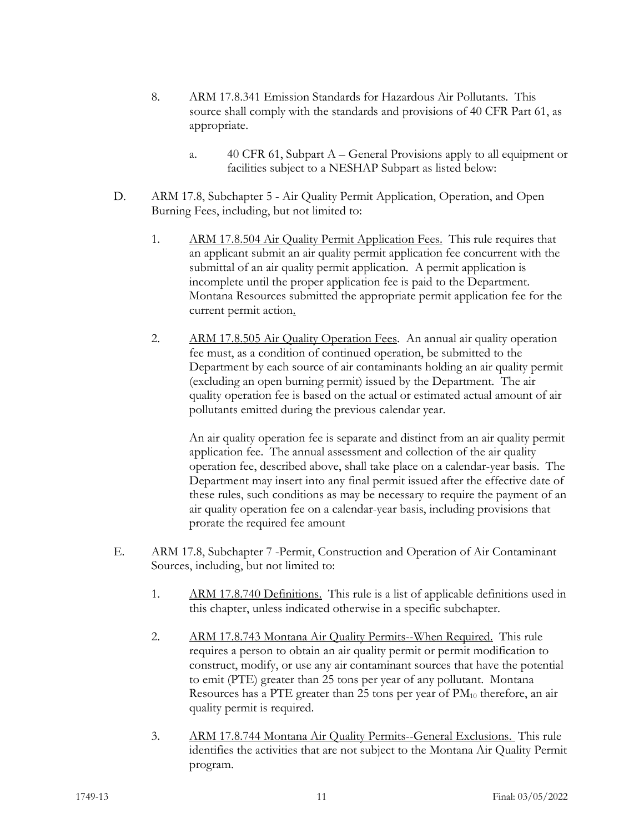- 8. ARM 17.8.341 Emission Standards for Hazardous Air Pollutants. This source shall comply with the standards and provisions of 40 CFR Part 61, as appropriate.
	- a. 40 CFR 61, Subpart A General Provisions apply to all equipment or facilities subject to a NESHAP Subpart as listed below:
- D. ARM 17.8, Subchapter 5 Air Quality Permit Application, Operation, and Open Burning Fees, including, but not limited to:
	- 1. ARM 17.8.504 Air Quality Permit Application Fees. This rule requires that an applicant submit an air quality permit application fee concurrent with the submittal of an air quality permit application. A permit application is incomplete until the proper application fee is paid to the Department. Montana Resources submitted the appropriate permit application fee for the current permit action.
	- 2. ARM 17.8.505 Air Quality Operation Fees. An annual air quality operation fee must, as a condition of continued operation, be submitted to the Department by each source of air contaminants holding an air quality permit (excluding an open burning permit) issued by the Department. The air quality operation fee is based on the actual or estimated actual amount of air pollutants emitted during the previous calendar year.

An air quality operation fee is separate and distinct from an air quality permit application fee. The annual assessment and collection of the air quality operation fee, described above, shall take place on a calendar-year basis. The Department may insert into any final permit issued after the effective date of these rules, such conditions as may be necessary to require the payment of an air quality operation fee on a calendar-year basis, including provisions that prorate the required fee amount

- E. ARM 17.8, Subchapter 7 -Permit, Construction and Operation of Air Contaminant Sources, including, but not limited to:
	- 1. ARM 17.8.740 Definitions. This rule is a list of applicable definitions used in this chapter, unless indicated otherwise in a specific subchapter.
	- 2. ARM 17.8.743 Montana Air Quality Permits--When Required. This rule requires a person to obtain an air quality permit or permit modification to construct, modify, or use any air contaminant sources that have the potential to emit (PTE) greater than 25 tons per year of any pollutant. Montana Resources has a PTE greater than 25 tons per year of  $PM_{10}$  therefore, an air quality permit is required.
	- 3. ARM 17.8.744 Montana Air Quality Permits--General Exclusions. This rule identifies the activities that are not subject to the Montana Air Quality Permit program.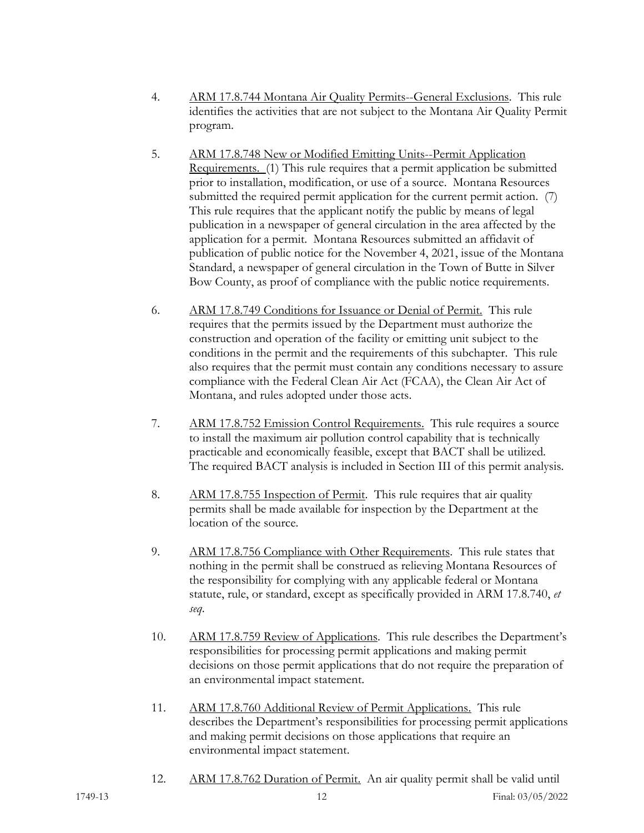- 4. ARM 17.8.744 Montana Air Quality Permits--General Exclusions. This rule identifies the activities that are not subject to the Montana Air Quality Permit program.
- 5. ARM 17.8.748 New or Modified Emitting Units--Permit Application Requirements. (1) This rule requires that a permit application be submitted prior to installation, modification, or use of a source. Montana Resources submitted the required permit application for the current permit action. (7) This rule requires that the applicant notify the public by means of legal publication in a newspaper of general circulation in the area affected by the application for a permit. Montana Resources submitted an affidavit of publication of public notice for the November 4, 2021, issue of the Montana Standard, a newspaper of general circulation in the Town of Butte in Silver Bow County, as proof of compliance with the public notice requirements.
- 6. ARM 17.8.749 Conditions for Issuance or Denial of Permit. This rule requires that the permits issued by the Department must authorize the construction and operation of the facility or emitting unit subject to the conditions in the permit and the requirements of this subchapter. This rule also requires that the permit must contain any conditions necessary to assure compliance with the Federal Clean Air Act (FCAA), the Clean Air Act of Montana, and rules adopted under those acts.
- 7. ARM 17.8.752 Emission Control Requirements. This rule requires a source to install the maximum air pollution control capability that is technically practicable and economically feasible, except that BACT shall be utilized. The required BACT analysis is included in Section III of this permit analysis.
- 8. ARM 17.8.755 Inspection of Permit. This rule requires that air quality permits shall be made available for inspection by the Department at the location of the source.
- 9. ARM 17.8.756 Compliance with Other Requirements. This rule states that nothing in the permit shall be construed as relieving Montana Resources of the responsibility for complying with any applicable federal or Montana statute, rule, or standard, except as specifically provided in ARM 17.8.740, *et seq*.
- 10. ARM 17.8.759 Review of Applications. This rule describes the Department's responsibilities for processing permit applications and making permit decisions on those permit applications that do not require the preparation of an environmental impact statement.
- 11. ARM 17.8.760 Additional Review of Permit Applications. This rule describes the Department's responsibilities for processing permit applications and making permit decisions on those applications that require an environmental impact statement.
- 12. ARM 17.8.762 Duration of Permit. An air quality permit shall be valid until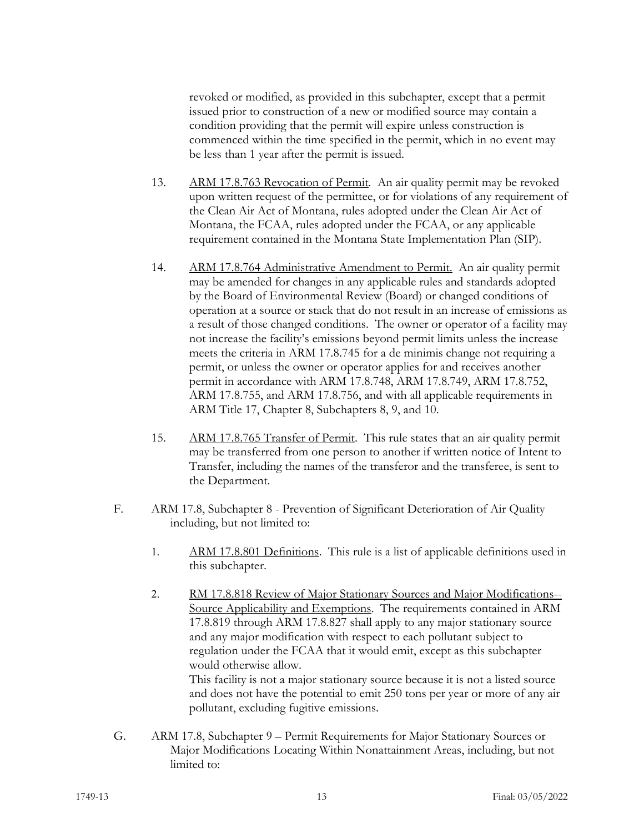revoked or modified, as provided in this subchapter, except that a permit issued prior to construction of a new or modified source may contain a condition providing that the permit will expire unless construction is commenced within the time specified in the permit, which in no event may be less than 1 year after the permit is issued.

- 13. ARM 17.8.763 Revocation of Permit. An air quality permit may be revoked upon written request of the permittee, or for violations of any requirement of the Clean Air Act of Montana, rules adopted under the Clean Air Act of Montana, the FCAA, rules adopted under the FCAA, or any applicable requirement contained in the Montana State Implementation Plan (SIP).
- 14. ARM 17.8.764 Administrative Amendment to Permit. An air quality permit may be amended for changes in any applicable rules and standards adopted by the Board of Environmental Review (Board) or changed conditions of operation at a source or stack that do not result in an increase of emissions as a result of those changed conditions. The owner or operator of a facility may not increase the facility's emissions beyond permit limits unless the increase meets the criteria in ARM 17.8.745 for a de minimis change not requiring a permit, or unless the owner or operator applies for and receives another permit in accordance with ARM 17.8.748, ARM 17.8.749, ARM 17.8.752, ARM 17.8.755, and ARM 17.8.756, and with all applicable requirements in ARM Title 17, Chapter 8, Subchapters 8, 9, and 10.
- 15. ARM 17.8.765 Transfer of Permit. This rule states that an air quality permit may be transferred from one person to another if written notice of Intent to Transfer, including the names of the transferor and the transferee, is sent to the Department.
- F. ARM 17.8, Subchapter 8 Prevention of Significant Deterioration of Air Quality including, but not limited to:
	- 1. ARM 17.8.801 Definitions. This rule is a list of applicable definitions used in this subchapter.
	- 2. RM 17.8.818 Review of Major Stationary Sources and Major Modifications--Source Applicability and Exemptions. The requirements contained in ARM 17.8.819 through ARM 17.8.827 shall apply to any major stationary source and any major modification with respect to each pollutant subject to regulation under the FCAA that it would emit, except as this subchapter would otherwise allow.

This facility is not a major stationary source because it is not a listed source and does not have the potential to emit 250 tons per year or more of any air pollutant, excluding fugitive emissions.

G. ARM 17.8, Subchapter 9 – Permit Requirements for Major Stationary Sources or Major Modifications Locating Within Nonattainment Areas, including, but not limited to: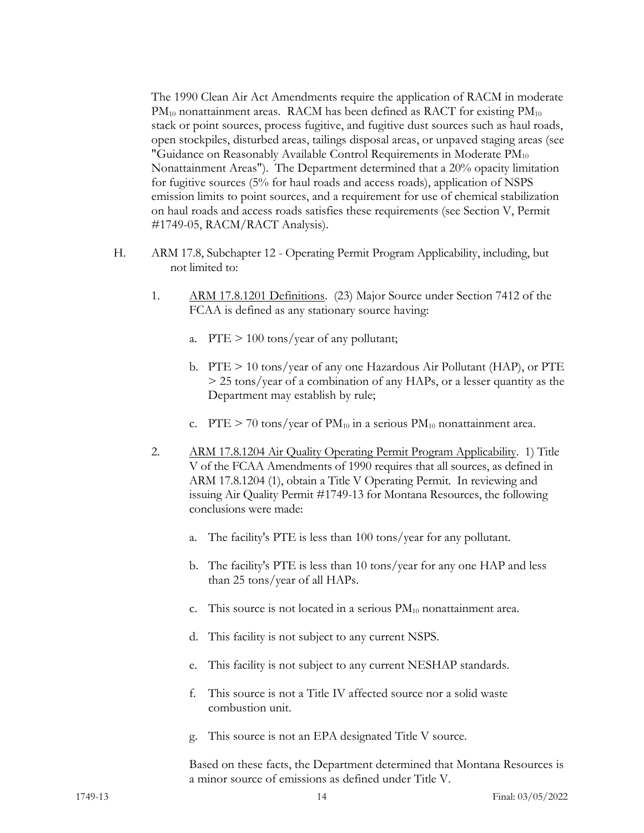The 1990 Clean Air Act Amendments require the application of RACM in moderate  $PM_{10}$  nonattainment areas. RACM has been defined as RACT for existing  $PM_{10}$ stack or point sources, process fugitive, and fugitive dust sources such as haul roads, open stockpiles, disturbed areas, tailings disposal areas, or unpaved staging areas (see "Guidance on Reasonably Available Control Requirements in Moderate  $PM_{10}$ Nonattainment Areas"). The Department determined that a 20% opacity limitation for fugitive sources (5% for haul roads and access roads), application of NSPS emission limits to point sources, and a requirement for use of chemical stabilization on haul roads and access roads satisfies these requirements (see Section V, Permit #1749-05, RACM/RACT Analysis).

- H. ARM 17.8, Subchapter 12 Operating Permit Program Applicability, including, but not limited to:
	- 1. ARM 17.8.1201 Definitions. (23) Major Source under Section 7412 of the FCAA is defined as any stationary source having:
		- a. PTE  $> 100$  tons/year of any pollutant;
		- b. PTE > 10 tons/year of any one Hazardous Air Pollutant (HAP), or PTE > 25 tons/year of a combination of any HAPs, or a lesser quantity as the Department may establish by rule;
		- c. PTE  $> 70$  tons/year of PM<sub>10</sub> in a serious PM<sub>10</sub> nonattainment area.
	- 2. ARM 17.8.1204 Air Quality Operating Permit Program Applicability. 1) Title V of the FCAA Amendments of 1990 requires that all sources, as defined in ARM 17.8.1204 (1), obtain a Title V Operating Permit. In reviewing and issuing Air Quality Permit #1749-13 for Montana Resources, the following conclusions were made:
		- a. The facility's PTE is less than 100 tons/year for any pollutant.
		- b. The facility's PTE is less than 10 tons/year for any one HAP and less than 25 tons/year of all HAPs.
		- c. This source is not located in a serious  $PM_{10}$  nonattainment area.
		- d. This facility is not subject to any current NSPS.
		- e. This facility is not subject to any current NESHAP standards.
		- f. This source is not a Title IV affected source nor a solid waste combustion unit.
		- g. This source is not an EPA designated Title V source.

Based on these facts, the Department determined that Montana Resources is a minor source of emissions as defined under Title V.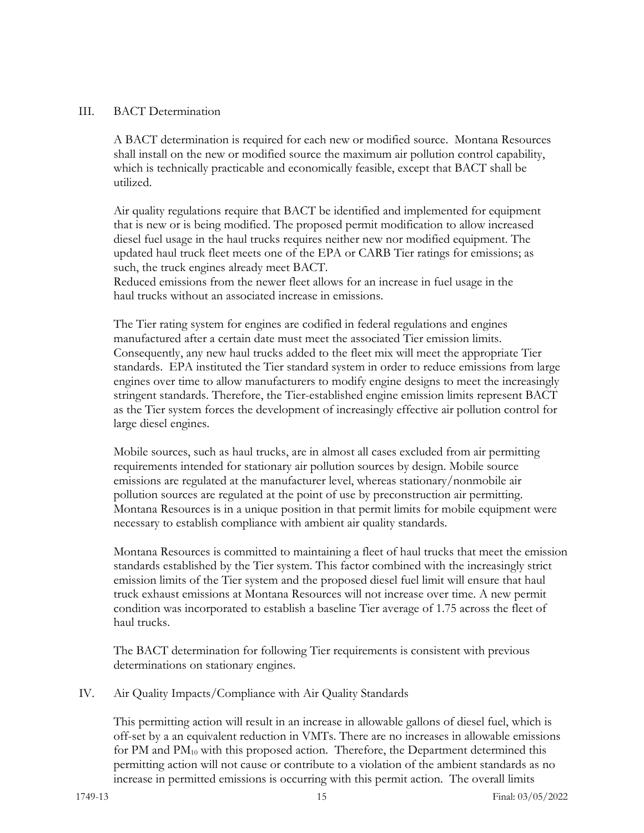#### III. BACT Determination

A BACT determination is required for each new or modified source. Montana Resources shall install on the new or modified source the maximum air pollution control capability, which is technically practicable and economically feasible, except that BACT shall be utilized.

Air quality regulations require that BACT be identified and implemented for equipment that is new or is being modified. The proposed permit modification to allow increased diesel fuel usage in the haul trucks requires neither new nor modified equipment. The updated haul truck fleet meets one of the EPA or CARB Tier ratings for emissions; as such, the truck engines already meet BACT.

Reduced emissions from the newer fleet allows for an increase in fuel usage in the haul trucks without an associated increase in emissions.

The Tier rating system for engines are codified in federal regulations and engines manufactured after a certain date must meet the associated Tier emission limits. Consequently, any new haul trucks added to the fleet mix will meet the appropriate Tier standards. EPA instituted the Tier standard system in order to reduce emissions from large engines over time to allow manufacturers to modify engine designs to meet the increasingly stringent standards. Therefore, the Tier-established engine emission limits represent BACT as the Tier system forces the development of increasingly effective air pollution control for large diesel engines.

Mobile sources, such as haul trucks, are in almost all cases excluded from air permitting requirements intended for stationary air pollution sources by design. Mobile source emissions are regulated at the manufacturer level, whereas stationary/nonmobile air pollution sources are regulated at the point of use by preconstruction air permitting. Montana Resources is in a unique position in that permit limits for mobile equipment were necessary to establish compliance with ambient air quality standards.

Montana Resources is committed to maintaining a fleet of haul trucks that meet the emission standards established by the Tier system. This factor combined with the increasingly strict emission limits of the Tier system and the proposed diesel fuel limit will ensure that haul truck exhaust emissions at Montana Resources will not increase over time. A new permit condition was incorporated to establish a baseline Tier average of 1.75 across the fleet of haul trucks.

The BACT determination for following Tier requirements is consistent with previous determinations on stationary engines.

IV. Air Quality Impacts/Compliance with Air Quality Standards

This permitting action will result in an increase in allowable gallons of diesel fuel, which is off-set by a an equivalent reduction in VMTs. There are no increases in allowable emissions for PM and  $PM_{10}$  with this proposed action. Therefore, the Department determined this permitting action will not cause or contribute to a violation of the ambient standards as no increase in permitted emissions is occurring with this permit action. The overall limits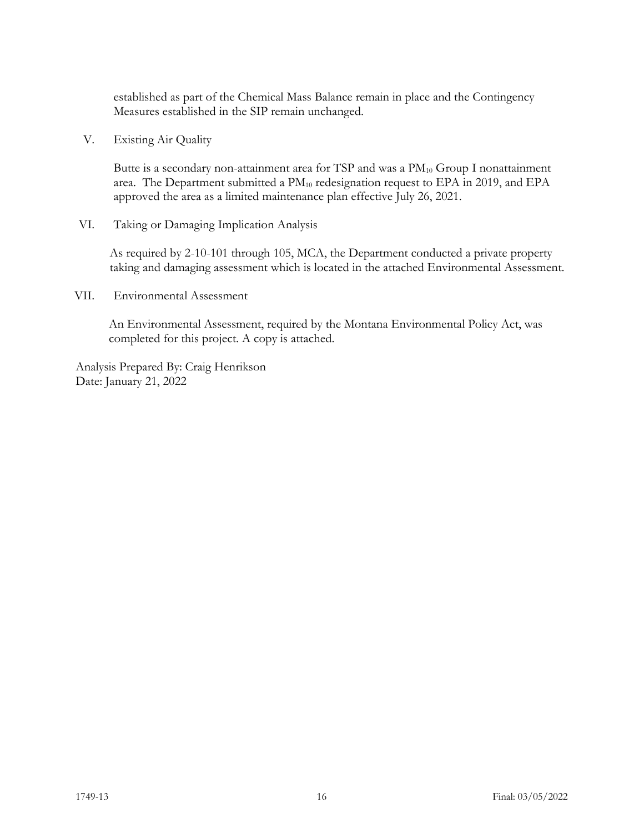established as part of the Chemical Mass Balance remain in place and the Contingency Measures established in the SIP remain unchanged.

V. Existing Air Quality

Butte is a secondary non-attainment area for TSP and was a  $PM_{10}$  Group I nonattainment area. The Department submitted a  $PM_{10}$  redesignation request to EPA in 2019, and EPA approved the area as a limited maintenance plan effective July 26, 2021.

VI. Taking or Damaging Implication Analysis

As required by 2-10-101 through 105, MCA, the Department conducted a private property taking and damaging assessment which is located in the attached Environmental Assessment.

VII. Environmental Assessment

An Environmental Assessment, required by the Montana Environmental Policy Act, was completed for this project. A copy is attached.

Analysis Prepared By: Craig Henrikson Date: January 21, 2022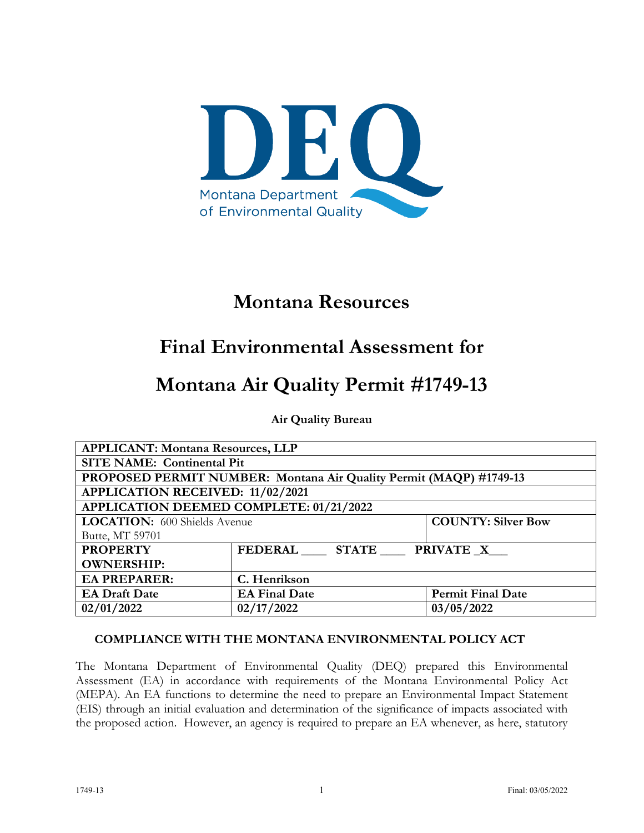

## **Montana Resources**

# **Final Environmental Assessment for**

# **Montana Air Quality Permit #1749-13**

**Air Quality Bureau**

| <b>APPLICANT: Montana Resources, LLP</b>                         |                                                                    |                          |  |  |
|------------------------------------------------------------------|--------------------------------------------------------------------|--------------------------|--|--|
|                                                                  | <b>SITE NAME: Continental Pit</b>                                  |                          |  |  |
|                                                                  | PROPOSED PERMIT NUMBER: Montana Air Quality Permit (MAQP) #1749-13 |                          |  |  |
|                                                                  | APPLICATION RECEIVED: 11/02/2021                                   |                          |  |  |
| APPLICATION DEEMED COMPLETE: 01/21/2022                          |                                                                    |                          |  |  |
| <b>COUNTY: Silver Bow</b><br><b>LOCATION:</b> 600 Shields Avenue |                                                                    |                          |  |  |
| Butte, MT 59701                                                  |                                                                    |                          |  |  |
| <b>PROPERTY</b>                                                  | FEDERAL STATE PRIVATE X                                            |                          |  |  |
| <b>OWNERSHIP:</b>                                                |                                                                    |                          |  |  |
| <b>EA PREPARER:</b>                                              | C. Henrikson                                                       |                          |  |  |
| <b>EA Draft Date</b>                                             | <b>EA Final Date</b>                                               | <b>Permit Final Date</b> |  |  |
| 02/01/2022                                                       | 02/17/2022                                                         | 03/05/2022               |  |  |

### **COMPLIANCE WITH THE MONTANA ENVIRONMENTAL POLICY ACT**

The Montana Department of Environmental Quality (DEQ) prepared this Environmental Assessment (EA) in accordance with requirements of the Montana Environmental Policy Act (MEPA). An EA functions to determine the need to prepare an Environmental Impact Statement (EIS) through an initial evaluation and determination of the significance of impacts associated with the proposed action. However, an agency is required to prepare an EA whenever, as here, statutory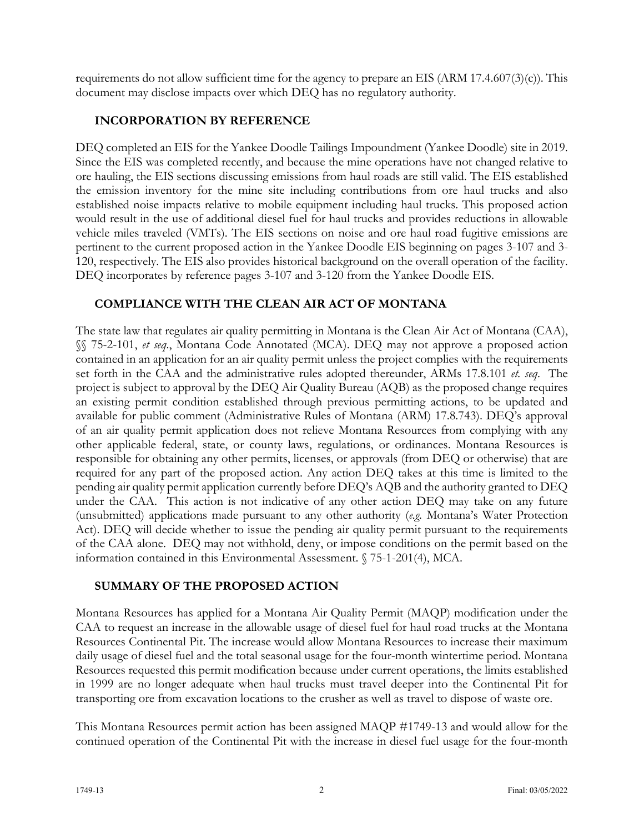requirements do not allow sufficient time for the agency to prepare an EIS (ARM 17.4.607(3)(c)). This document may disclose impacts over which DEQ has no regulatory authority.

### **INCORPORATION BY REFERENCE**

DEQ completed an EIS for the Yankee Doodle Tailings Impoundment (Yankee Doodle) site in 2019. Since the EIS was completed recently, and because the mine operations have not changed relative to ore hauling, the EIS sections discussing emissions from haul roads are still valid. The EIS established the emission inventory for the mine site including contributions from ore haul trucks and also established noise impacts relative to mobile equipment including haul trucks. This proposed action would result in the use of additional diesel fuel for haul trucks and provides reductions in allowable vehicle miles traveled (VMTs). The EIS sections on noise and ore haul road fugitive emissions are pertinent to the current proposed action in the Yankee Doodle EIS beginning on pages 3-107 and 3- 120, respectively. The EIS also provides historical background on the overall operation of the facility. DEQ incorporates by reference pages 3-107 and 3-120 from the Yankee Doodle EIS.

## **COMPLIANCE WITH THE CLEAN AIR ACT OF MONTANA**

The state law that regulates air quality permitting in Montana is the Clean Air Act of Montana (CAA), §§ 75-2-101, *et seq*., Montana Code Annotated (MCA). DEQ may not approve a proposed action contained in an application for an air quality permit unless the project complies with the requirements set forth in the CAA and the administrative rules adopted thereunder, ARMs 17.8.101 *et. seq*. The project is subject to approval by the DEQ Air Quality Bureau (AQB) as the proposed change requires an existing permit condition established through previous permitting actions, to be updated and available for public comment (Administrative Rules of Montana (ARM) 17.8.743). DEQ's approval of an air quality permit application does not relieve Montana Resources from complying with any other applicable federal, state, or county laws, regulations, or ordinances. Montana Resources is responsible for obtaining any other permits, licenses, or approvals (from DEQ or otherwise) that are required for any part of the proposed action. Any action DEQ takes at this time is limited to the pending air quality permit application currently before DEQ's AQB and the authority granted to DEQ under the CAA. This action is not indicative of any other action DEQ may take on any future (unsubmitted) applications made pursuant to any other authority (*e.g.* Montana's Water Protection Act). DEQ will decide whether to issue the pending air quality permit pursuant to the requirements of the CAA alone. DEQ may not withhold, deny, or impose conditions on the permit based on the information contained in this Environmental Assessment. § 75-1-201(4), MCA.

### **SUMMARY OF THE PROPOSED ACTION**

Montana Resources has applied for a Montana Air Quality Permit (MAQP) modification under the CAA to request an increase in the allowable usage of diesel fuel for haul road trucks at the Montana Resources Continental Pit. The increase would allow Montana Resources to increase their maximum daily usage of diesel fuel and the total seasonal usage for the four-month wintertime period. Montana Resources requested this permit modification because under current operations, the limits established in 1999 are no longer adequate when haul trucks must travel deeper into the Continental Pit for transporting ore from excavation locations to the crusher as well as travel to dispose of waste ore.

This Montana Resources permit action has been assigned MAQP #1749-13 and would allow for the continued operation of the Continental Pit with the increase in diesel fuel usage for the four-month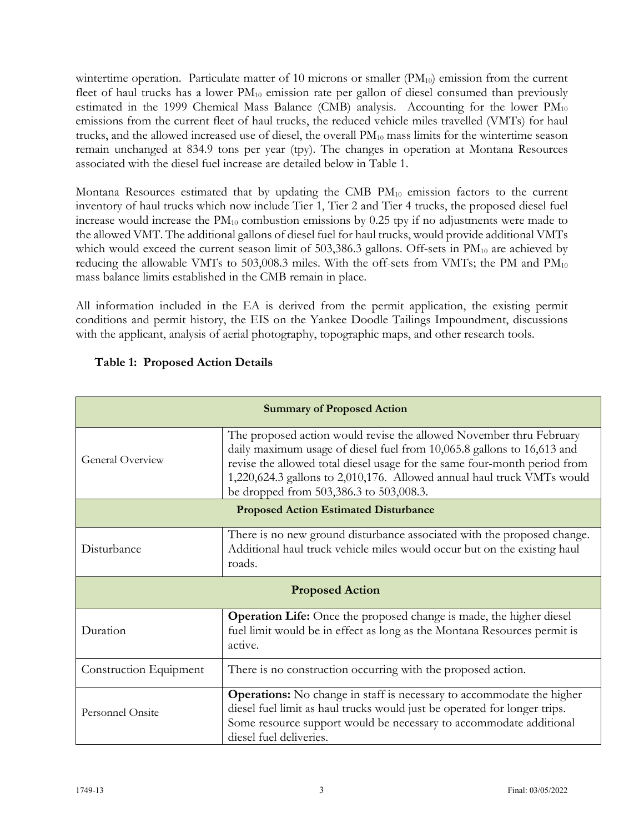wintertime operation. Particulate matter of 10 microns or smaller  $(PM_{10})$  emission from the current fleet of haul trucks has a lower  $PM_{10}$  emission rate per gallon of diesel consumed than previously estimated in the 1999 Chemical Mass Balance (CMB) analysis. Accounting for the lower  $PM_{10}$ emissions from the current fleet of haul trucks, the reduced vehicle miles travelled (VMTs) for haul trucks, and the allowed increased use of diesel, the overall  $PM_{10}$  mass limits for the wintertime season remain unchanged at 834.9 tons per year (tpy). The changes in operation at Montana Resources associated with the diesel fuel increase are detailed below in Table 1.

Montana Resources estimated that by updating the CMB  $PM_{10}$  emission factors to the current inventory of haul trucks which now include Tier 1, Tier 2 and Tier 4 trucks, the proposed diesel fuel increase would increase the  $PM_{10}$  combustion emissions by 0.25 tpy if no adjustments were made to the allowed VMT. The additional gallons of diesel fuel for haul trucks, would provide additional VMTs which would exceed the current season limit of  $503,386.3$  gallons. Off-sets in  $PM_{10}$  are achieved by reducing the allowable VMTs to 503,008.3 miles. With the off-sets from VMTs; the PM and  $PM_{10}$ mass balance limits established in the CMB remain in place.

All information included in the EA is derived from the permit application, the existing permit conditions and permit history, the EIS on the Yankee Doodle Tailings Impoundment, discussions with the applicant, analysis of aerial photography, topographic maps, and other research tools.

| <b>Summary of Proposed Action</b>            |                                                                                                                                                                                                                                                                                                                                                 |  |  |
|----------------------------------------------|-------------------------------------------------------------------------------------------------------------------------------------------------------------------------------------------------------------------------------------------------------------------------------------------------------------------------------------------------|--|--|
| General Overview                             | The proposed action would revise the allowed November thru February<br>daily maximum usage of diesel fuel from 10,065.8 gallons to 16,613 and<br>revise the allowed total diesel usage for the same four-month period from<br>1,220,624.3 gallons to 2,010,176. Allowed annual haul truck VMTs would<br>be dropped from 503,386.3 to 503,008.3. |  |  |
| <b>Proposed Action Estimated Disturbance</b> |                                                                                                                                                                                                                                                                                                                                                 |  |  |
| Disturbance                                  | There is no new ground disturbance associated with the proposed change.<br>Additional haul truck vehicle miles would occur but on the existing haul<br>roads.                                                                                                                                                                                   |  |  |
| <b>Proposed Action</b>                       |                                                                                                                                                                                                                                                                                                                                                 |  |  |
| Duration                                     | <b>Operation Life:</b> Once the proposed change is made, the higher diesel<br>fuel limit would be in effect as long as the Montana Resources permit is<br>active.                                                                                                                                                                               |  |  |
| Construction Equipment                       | There is no construction occurring with the proposed action.                                                                                                                                                                                                                                                                                    |  |  |
| Personnel Onsite                             | <b>Operations:</b> No change in staff is necessary to accommodate the higher<br>diesel fuel limit as haul trucks would just be operated for longer trips.<br>Some resource support would be necessary to accommodate additional<br>diesel fuel deliveries.                                                                                      |  |  |

## **Table 1: Proposed Action Details**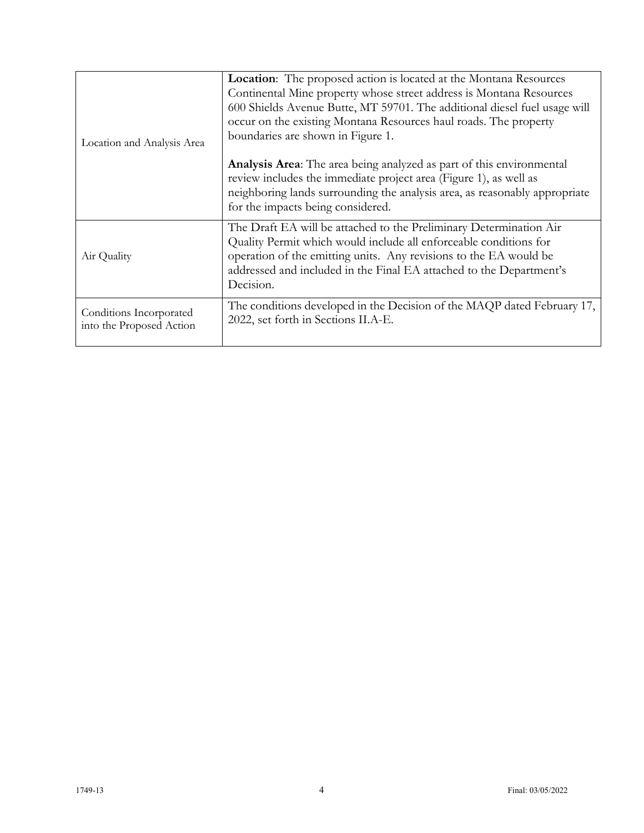| Location and Analysis Area                          | Location: The proposed action is located at the Montana Resources<br>Continental Mine property whose street address is Montana Resources<br>600 Shields Avenue Butte, MT 59701. The additional diesel fuel usage will<br>occur on the existing Montana Resources haul roads. The property<br>boundaries are shown in Figure 1. |  |
|-----------------------------------------------------|--------------------------------------------------------------------------------------------------------------------------------------------------------------------------------------------------------------------------------------------------------------------------------------------------------------------------------|--|
|                                                     | Analysis Area: The area being analyzed as part of this environmental<br>review includes the immediate project area (Figure 1), as well as<br>neighboring lands surrounding the analysis area, as reasonably appropriate<br>for the impacts being considered.                                                                   |  |
| Air Quality                                         | The Draft EA will be attached to the Preliminary Determination Air<br>Quality Permit which would include all enforceable conditions for<br>operation of the emitting units. Any revisions to the EA would be<br>addressed and included in the Final EA attached to the Department's<br>Decision.                               |  |
| Conditions Incorporated<br>into the Proposed Action | The conditions developed in the Decision of the MAQP dated February 17,<br>2022, set forth in Sections II.A-E.                                                                                                                                                                                                                 |  |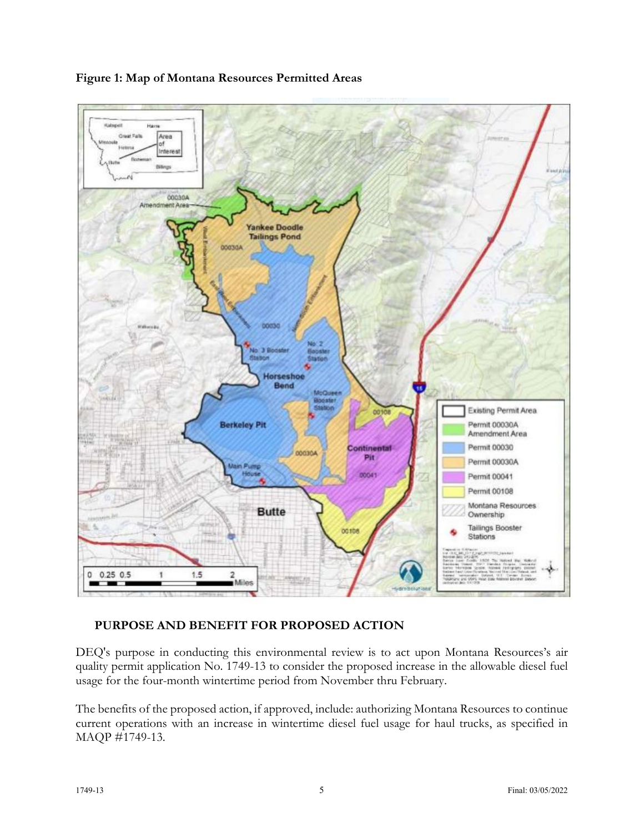

### **Figure 1: Map of Montana Resources Permitted Areas**

### **PURPOSE AND BENEFIT FOR PROPOSED ACTION**

DEQ's purpose in conducting this environmental review is to act upon Montana Resources's air quality permit application No. 1749-13 to consider the proposed increase in the allowable diesel fuel usage for the four-month wintertime period from November thru February.

The benefits of the proposed action, if approved, include: authorizing Montana Resources to continue current operations with an increase in wintertime diesel fuel usage for haul trucks, as specified in MAQP #1749-13.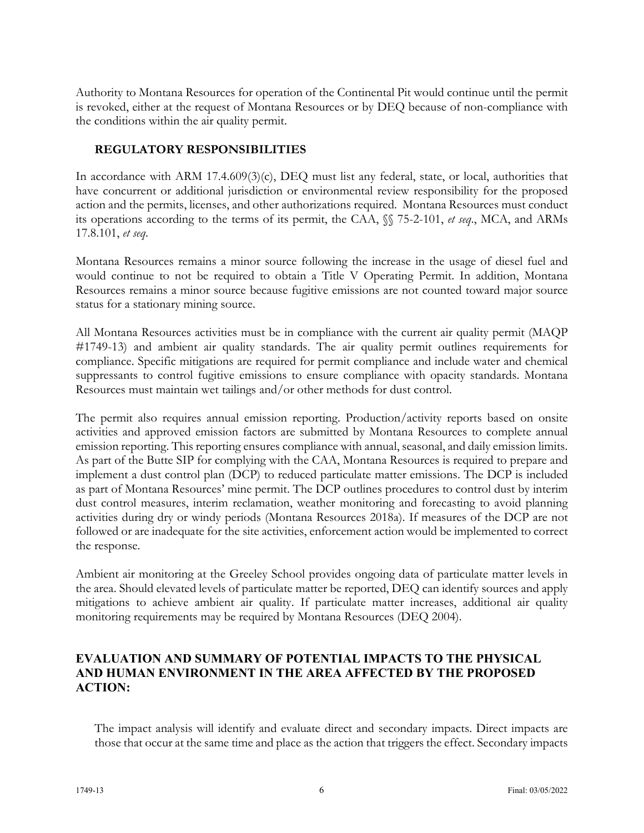Authority to Montana Resources for operation of the Continental Pit would continue until the permit is revoked, either at the request of Montana Resources or by DEQ because of non-compliance with the conditions within the air quality permit.

### **REGULATORY RESPONSIBILITIES**

In accordance with ARM 17.4.609(3)(c), DEQ must list any federal, state, or local, authorities that have concurrent or additional jurisdiction or environmental review responsibility for the proposed action and the permits, licenses, and other authorizations required. Montana Resources must conduct its operations according to the terms of its permit, the CAA, §§ 75-2-101, *et seq*., MCA, and ARMs 17.8.101, *et seq*.

Montana Resources remains a minor source following the increase in the usage of diesel fuel and would continue to not be required to obtain a Title V Operating Permit. In addition, Montana Resources remains a minor source because fugitive emissions are not counted toward major source status for a stationary mining source.

All Montana Resources activities must be in compliance with the current air quality permit (MAQP #1749-13) and ambient air quality standards. The air quality permit outlines requirements for compliance. Specific mitigations are required for permit compliance and include water and chemical suppressants to control fugitive emissions to ensure compliance with opacity standards. Montana Resources must maintain wet tailings and/or other methods for dust control.

The permit also requires annual emission reporting. Production/activity reports based on onsite activities and approved emission factors are submitted by Montana Resources to complete annual emission reporting. This reporting ensures compliance with annual, seasonal, and daily emission limits. As part of the Butte SIP for complying with the CAA, Montana Resources is required to prepare and implement a dust control plan (DCP) to reduced particulate matter emissions. The DCP is included as part of Montana Resources' mine permit. The DCP outlines procedures to control dust by interim dust control measures, interim reclamation, weather monitoring and forecasting to avoid planning activities during dry or windy periods (Montana Resources 2018a). If measures of the DCP are not followed or are inadequate for the site activities, enforcement action would be implemented to correct the response.

Ambient air monitoring at the Greeley School provides ongoing data of particulate matter levels in the area. Should elevated levels of particulate matter be reported, DEQ can identify sources and apply mitigations to achieve ambient air quality. If particulate matter increases, additional air quality monitoring requirements may be required by Montana Resources (DEQ 2004).

#### **EVALUATION AND SUMMARY OF POTENTIAL IMPACTS TO THE PHYSICAL AND HUMAN ENVIRONMENT IN THE AREA AFFECTED BY THE PROPOSED ACTION:**

The impact analysis will identify and evaluate direct and secondary impacts. Direct impacts are those that occur at the same time and place as the action that triggers the effect. Secondary impacts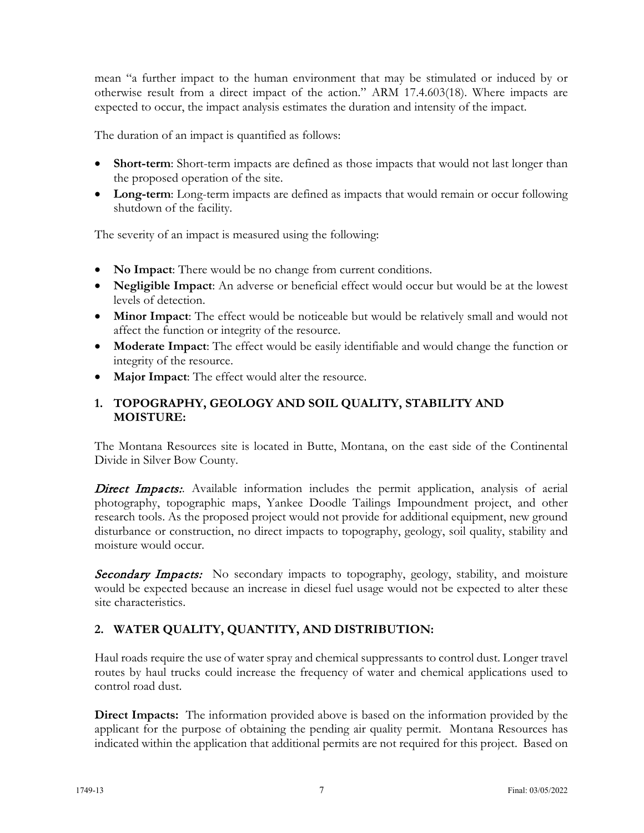mean "a further impact to the human environment that may be stimulated or induced by or otherwise result from a direct impact of the action." ARM 17.4.603(18). Where impacts are expected to occur, the impact analysis estimates the duration and intensity of the impact.

The duration of an impact is quantified as follows:

- **Short-term**: Short-term impacts are defined as those impacts that would not last longer than the proposed operation of the site.
- Long-term: Long-term impacts are defined as impacts that would remain or occur following shutdown of the facility.

The severity of an impact is measured using the following:

- **No Impact:** There would be no change from current conditions.
- **Negligible Impact**: An adverse or beneficial effect would occur but would be at the lowest levels of detection.
- **Minor Impact**: The effect would be noticeable but would be relatively small and would not affect the function or integrity of the resource.
- **Moderate Impact**: The effect would be easily identifiable and would change the function or integrity of the resource.
- **Major Impact**: The effect would alter the resource.

### **1. TOPOGRAPHY, GEOLOGY AND SOIL QUALITY, STABILITY AND MOISTURE:**

The Montana Resources site is located in Butte, Montana, on the east side of the Continental Divide in Silver Bow County.

**Direct Impacts:**. Available information includes the permit application, analysis of aerial photography, topographic maps, Yankee Doodle Tailings Impoundment project, and other research tools. As the proposed project would not provide for additional equipment, new ground disturbance or construction, no direct impacts to topography, geology, soil quality, stability and moisture would occur.

**Secondary Impacts:** No secondary impacts to topography, geology, stability, and moisture would be expected because an increase in diesel fuel usage would not be expected to alter these site characteristics.

### **2. WATER QUALITY, QUANTITY, AND DISTRIBUTION:**

Haul roads require the use of water spray and chemical suppressants to control dust. Longer travel routes by haul trucks could increase the frequency of water and chemical applications used to control road dust.

**Direct Impacts:** The information provided above is based on the information provided by the applicant for the purpose of obtaining the pending air quality permit. Montana Resources has indicated within the application that additional permits are not required for this project. Based on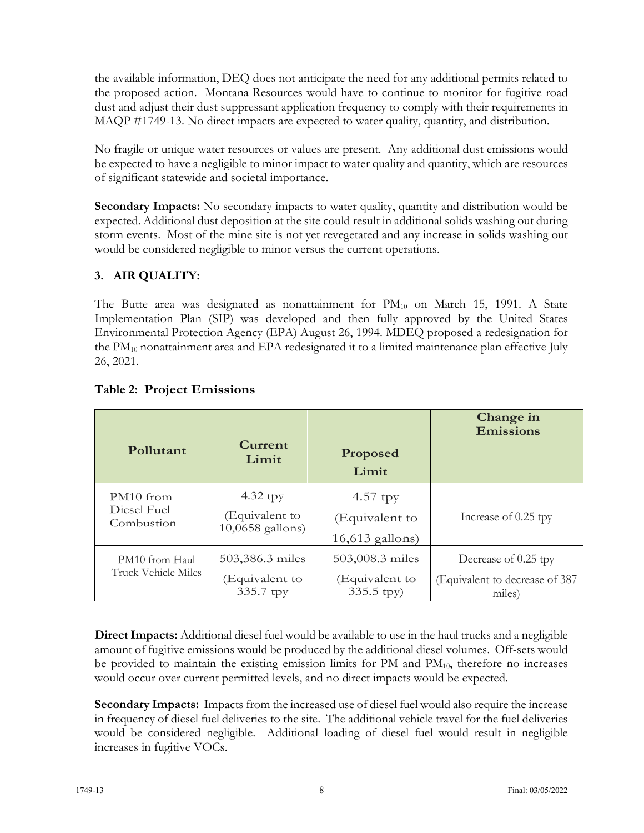the available information, DEQ does not anticipate the need for any additional permits related to the proposed action. Montana Resources would have to continue to monitor for fugitive road dust and adjust their dust suppressant application frequency to comply with their requirements in MAQP #1749-13. No direct impacts are expected to water quality, quantity, and distribution.

No fragile or unique water resources or values are present. Any additional dust emissions would be expected to have a negligible to minor impact to water quality and quantity, which are resources of significant statewide and societal importance.

**Secondary Impacts:** No secondary impacts to water quality, quantity and distribution would be expected. Additional dust deposition at the site could result in additional solids washing out during storm events. Most of the mine site is not yet revegetated and any increase in solids washing out would be considered negligible to minor versus the current operations.

## **3. AIR QUALITY:**

The Butte area was designated as nonattainment for  $PM_{10}$  on March 15, 1991. A State Implementation Plan (SIP) was developed and then fully approved by the United States Environmental Protection Agency (EPA) August 26, 1994. MDEQ proposed a redesignation for the PM<sub>10</sub> nonattainment area and EPA redesignated it to a limited maintenance plan effective July 26, 2021.

| Pollutant                             | Current                                        | Proposed                                                  | Change in                                                       |
|---------------------------------------|------------------------------------------------|-----------------------------------------------------------|-----------------------------------------------------------------|
|                                       | Limit                                          | Limit                                                     | <b>Emissions</b>                                                |
| PM <sub>10</sub> from                 | $4.32$ tpy                                     | $4.57$ tpy                                                | Increase of 0.25 tpy                                            |
| Diesel Fuel                           | (Equivalent to                                 | (Equivalent to                                            |                                                                 |
| Combustion                            | $10,0658$ gallons)                             | $16,613$ gallons)                                         |                                                                 |
| PM10 from Haul<br>Truck Vehicle Miles | 503,386.3 miles<br>(Equivalent to<br>335.7 tpy | 503,008.3 miles<br>(Equivalent to<br>$335.5 \text{ typy}$ | Decrease of 0.25 tpy<br>(Equivalent to decrease of 387<br>miles |

### **Table 2: Project Emissions**

**Direct Impacts:** Additional diesel fuel would be available to use in the haul trucks and a negligible amount of fugitive emissions would be produced by the additional diesel volumes. Off-sets would be provided to maintain the existing emission limits for PM and  $PM_{10}$ , therefore no increases would occur over current permitted levels, and no direct impacts would be expected.

**Secondary Impacts:** Impacts from the increased use of diesel fuel would also require the increase in frequency of diesel fuel deliveries to the site. The additional vehicle travel for the fuel deliveries would be considered negligible. Additional loading of diesel fuel would result in negligible increases in fugitive VOCs.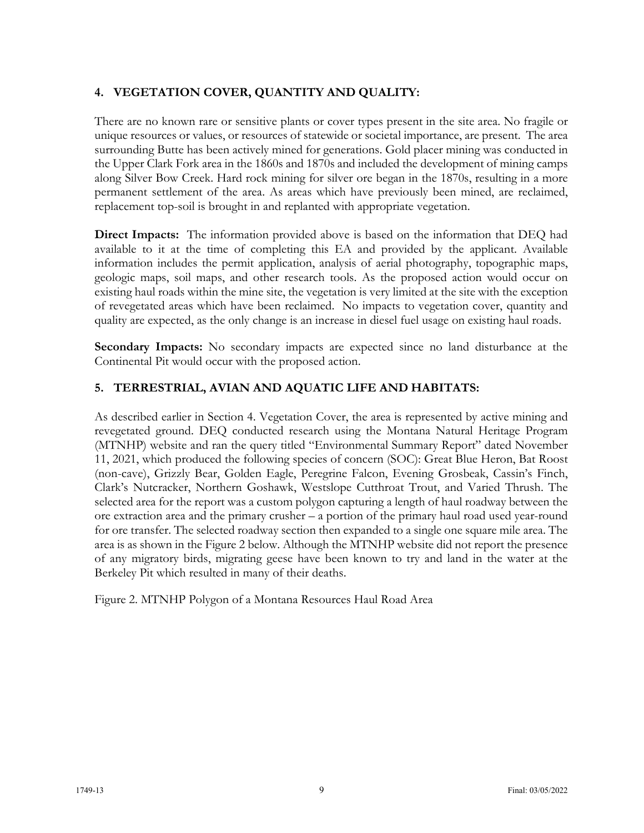## **4. VEGETATION COVER, QUANTITY AND QUALITY:**

There are no known rare or sensitive plants or cover types present in the site area. No fragile or unique resources or values, or resources of statewide or societal importance, are present. The area surrounding Butte has been actively mined for generations. Gold placer mining was conducted in the Upper Clark Fork area in the 1860s and 1870s and included the development of mining camps along Silver Bow Creek. Hard rock mining for silver ore began in the 1870s, resulting in a more permanent settlement of the area. As areas which have previously been mined, are reclaimed, replacement top-soil is brought in and replanted with appropriate vegetation.

**Direct Impacts:** The information provided above is based on the information that DEQ had available to it at the time of completing this EA and provided by the applicant. Available information includes the permit application, analysis of aerial photography, topographic maps, geologic maps, soil maps, and other research tools. As the proposed action would occur on existing haul roads within the mine site, the vegetation is very limited at the site with the exception of revegetated areas which have been reclaimed. No impacts to vegetation cover, quantity and quality are expected, as the only change is an increase in diesel fuel usage on existing haul roads.

**Secondary Impacts:** No secondary impacts are expected since no land disturbance at the Continental Pit would occur with the proposed action.

#### **5. TERRESTRIAL, AVIAN AND AQUATIC LIFE AND HABITATS:**

As described earlier in Section 4. Vegetation Cover, the area is represented by active mining and revegetated ground. DEQ conducted research using the Montana Natural Heritage Program (MTNHP) website and ran the query titled "Environmental Summary Report" dated November 11, 2021, which produced the following species of concern (SOC): Great Blue Heron, Bat Roost (non-cave), Grizzly Bear, Golden Eagle, Peregrine Falcon, Evening Grosbeak, Cassin's Finch, Clark's Nutcracker, Northern Goshawk, Westslope Cutthroat Trout, and Varied Thrush. The selected area for the report was a custom polygon capturing a length of haul roadway between the ore extraction area and the primary crusher – a portion of the primary haul road used year-round for ore transfer. The selected roadway section then expanded to a single one square mile area. The area is as shown in the Figure 2 below. Although the MTNHP website did not report the presence of any migratory birds, migrating geese have been known to try and land in the water at the Berkeley Pit which resulted in many of their deaths.

Figure 2. MTNHP Polygon of a Montana Resources Haul Road Area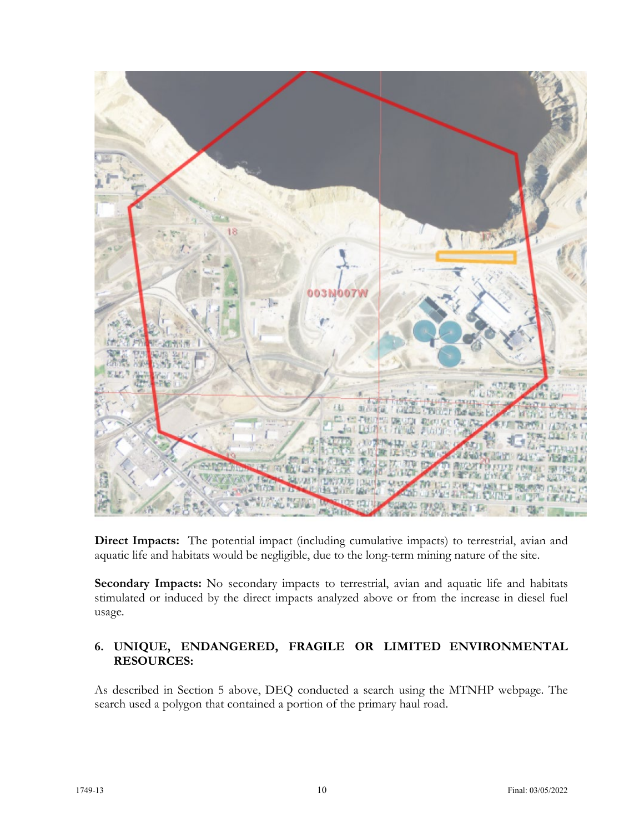

**Direct Impacts:** The potential impact (including cumulative impacts) to terrestrial, avian and aquatic life and habitats would be negligible, due to the long-term mining nature of the site.

Secondary Impacts: No secondary impacts to terrestrial, avian and aquatic life and habitats stimulated or induced by the direct impacts analyzed above or from the increase in diesel fuel usage.

### **6. UNIQUE, ENDANGERED, FRAGILE OR LIMITED ENVIRONMENTAL RESOURCES:**

As described in Section 5 above, DEQ conducted a search using the MTNHP webpage. The search used a polygon that contained a portion of the primary haul road.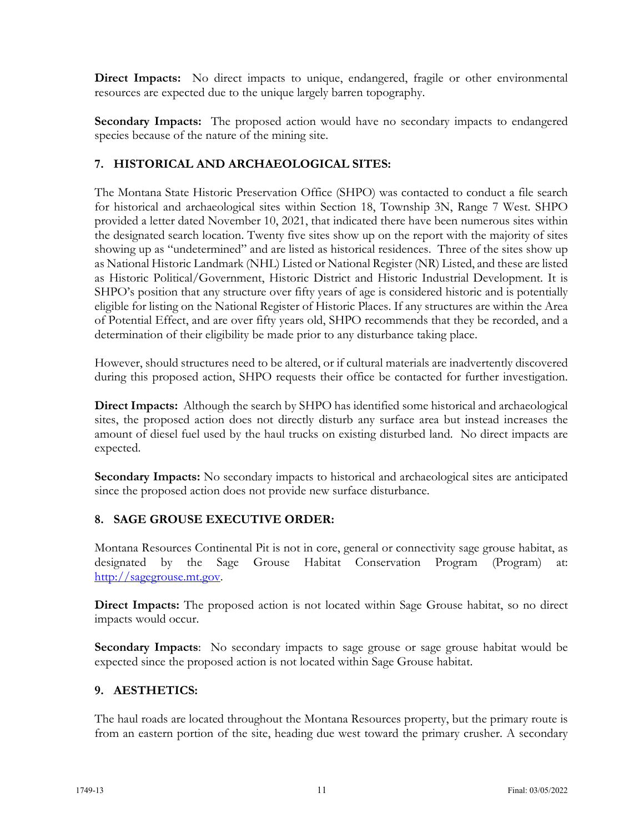**Direct Impacts:** No direct impacts to unique, endangered, fragile or other environmental resources are expected due to the unique largely barren topography.

**Secondary Impacts:** The proposed action would have no secondary impacts to endangered species because of the nature of the mining site.

### **7. HISTORICAL AND ARCHAEOLOGICAL SITES:**

The Montana State Historic Preservation Office (SHPO) was contacted to conduct a file search for historical and archaeological sites within Section 18, Township 3N, Range 7 West. SHPO provided a letter dated November 10, 2021, that indicated there have been numerous sites within the designated search location. Twenty five sites show up on the report with the majority of sites showing up as "undetermined" and are listed as historical residences. Three of the sites show up as National Historic Landmark (NHL) Listed or National Register (NR) Listed, and these are listed as Historic Political/Government, Historic District and Historic Industrial Development. It is SHPO's position that any structure over fifty years of age is considered historic and is potentially eligible for listing on the National Register of Historic Places. If any structures are within the Area of Potential Effect, and are over fifty years old, SHPO recommends that they be recorded, and a determination of their eligibility be made prior to any disturbance taking place.

However, should structures need to be altered, or if cultural materials are inadvertently discovered during this proposed action, SHPO requests their office be contacted for further investigation.

**Direct Impacts:** Although the search by SHPO has identified some historical and archaeological sites, the proposed action does not directly disturb any surface area but instead increases the amount of diesel fuel used by the haul trucks on existing disturbed land. No direct impacts are expected.

**Secondary Impacts:** No secondary impacts to historical and archaeological sites are anticipated since the proposed action does not provide new surface disturbance.

### **8. SAGE GROUSE EXECUTIVE ORDER:**

Montana Resources Continental Pit is not in core, general or connectivity sage grouse habitat, as designated by the Sage Grouse Habitat Conservation Program (Program) at: [http://sagegrouse.mt.gov.](about:blank)

**Direct Impacts:** The proposed action is not located within Sage Grouse habitat, so no direct impacts would occur.

**Secondary Impacts**: No secondary impacts to sage grouse or sage grouse habitat would be expected since the proposed action is not located within Sage Grouse habitat.

### **9. AESTHETICS:**

The haul roads are located throughout the Montana Resources property, but the primary route is from an eastern portion of the site, heading due west toward the primary crusher. A secondary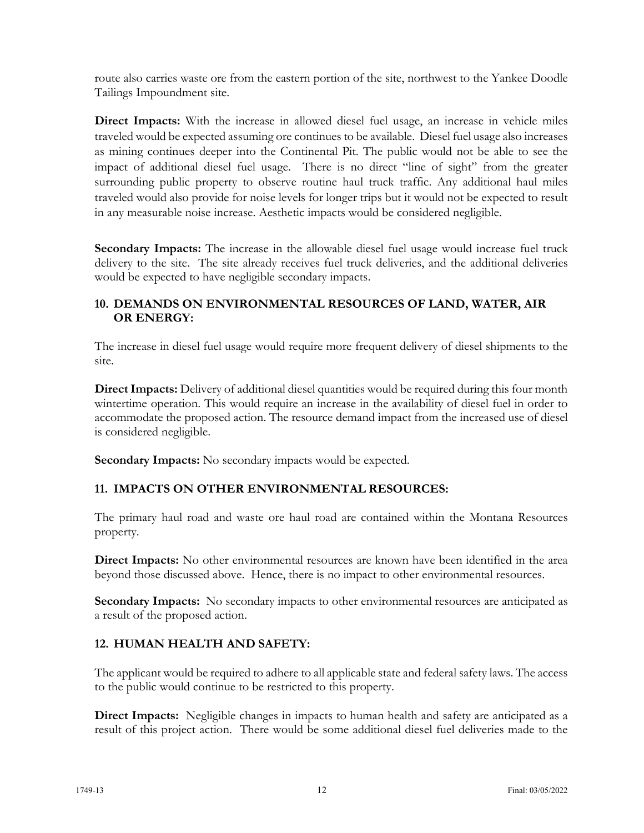route also carries waste ore from the eastern portion of the site, northwest to the Yankee Doodle Tailings Impoundment site.

**Direct Impacts:** With the increase in allowed diesel fuel usage, an increase in vehicle miles traveled would be expected assuming ore continues to be available. Diesel fuel usage also increases as mining continues deeper into the Continental Pit. The public would not be able to see the impact of additional diesel fuel usage. There is no direct "line of sight" from the greater surrounding public property to observe routine haul truck traffic. Any additional haul miles traveled would also provide for noise levels for longer trips but it would not be expected to result in any measurable noise increase. Aesthetic impacts would be considered negligible.

Secondary Impacts: The increase in the allowable diesel fuel usage would increase fuel truck delivery to the site. The site already receives fuel truck deliveries, and the additional deliveries would be expected to have negligible secondary impacts.

#### **10. DEMANDS ON ENVIRONMENTAL RESOURCES OF LAND, WATER, AIR OR ENERGY:**

The increase in diesel fuel usage would require more frequent delivery of diesel shipments to the site.

**Direct Impacts:** Delivery of additional diesel quantities would be required during this four month wintertime operation. This would require an increase in the availability of diesel fuel in order to accommodate the proposed action. The resource demand impact from the increased use of diesel is considered negligible.

**Secondary Impacts:** No secondary impacts would be expected.

### **11. IMPACTS ON OTHER ENVIRONMENTAL RESOURCES:**

The primary haul road and waste ore haul road are contained within the Montana Resources property.

**Direct Impacts:** No other environmental resources are known have been identified in the area beyond those discussed above. Hence, there is no impact to other environmental resources.

**Secondary Impacts:** No secondary impacts to other environmental resources are anticipated as a result of the proposed action.

### **12. HUMAN HEALTH AND SAFETY:**

The applicant would be required to adhere to all applicable state and federal safety laws. The access to the public would continue to be restricted to this property.

**Direct Impacts:** Negligible changes in impacts to human health and safety are anticipated as a result of this project action. There would be some additional diesel fuel deliveries made to the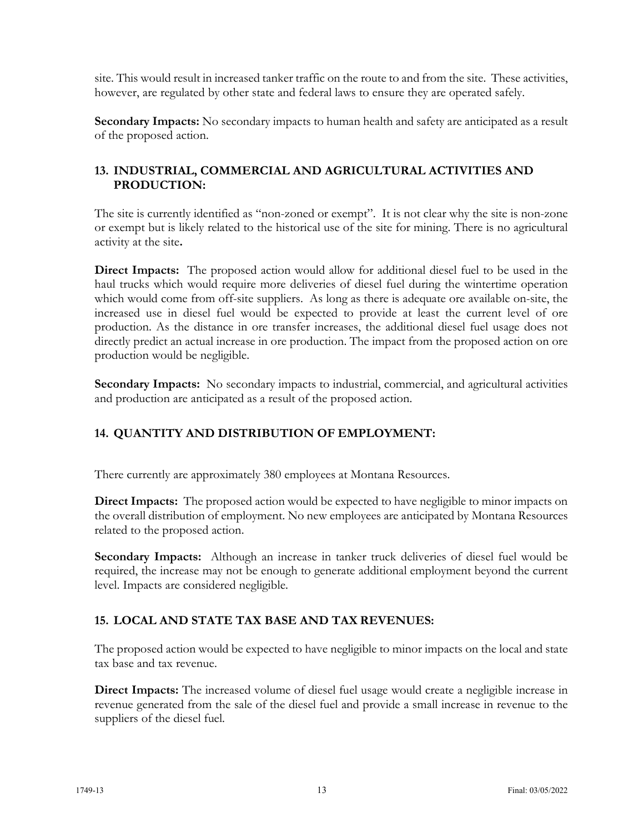site. This would result in increased tanker traffic on the route to and from the site. These activities, however, are regulated by other state and federal laws to ensure they are operated safely.

**Secondary Impacts:** No secondary impacts to human health and safety are anticipated as a result of the proposed action.

### **13. INDUSTRIAL, COMMERCIAL AND AGRICULTURAL ACTIVITIES AND PRODUCTION:**

The site is currently identified as "non-zoned or exempt". It is not clear why the site is non-zone or exempt but is likely related to the historical use of the site for mining. There is no agricultural activity at the site**.**

**Direct Impacts:** The proposed action would allow for additional diesel fuel to be used in the haul trucks which would require more deliveries of diesel fuel during the wintertime operation which would come from off-site suppliers. As long as there is adequate ore available on-site, the increased use in diesel fuel would be expected to provide at least the current level of ore production. As the distance in ore transfer increases, the additional diesel fuel usage does not directly predict an actual increase in ore production. The impact from the proposed action on ore production would be negligible.

**Secondary Impacts:** No secondary impacts to industrial, commercial, and agricultural activities and production are anticipated as a result of the proposed action.

## **14. QUANTITY AND DISTRIBUTION OF EMPLOYMENT:**

There currently are approximately 380 employees at Montana Resources.

**Direct Impacts:** The proposed action would be expected to have negligible to minor impacts on the overall distribution of employment. No new employees are anticipated by Montana Resources related to the proposed action.

**Secondary Impacts:** Although an increase in tanker truck deliveries of diesel fuel would be required, the increase may not be enough to generate additional employment beyond the current level. Impacts are considered negligible.

### **15. LOCAL AND STATE TAX BASE AND TAX REVENUES:**

The proposed action would be expected to have negligible to minor impacts on the local and state tax base and tax revenue.

**Direct Impacts:** The increased volume of diesel fuel usage would create a negligible increase in revenue generated from the sale of the diesel fuel and provide a small increase in revenue to the suppliers of the diesel fuel.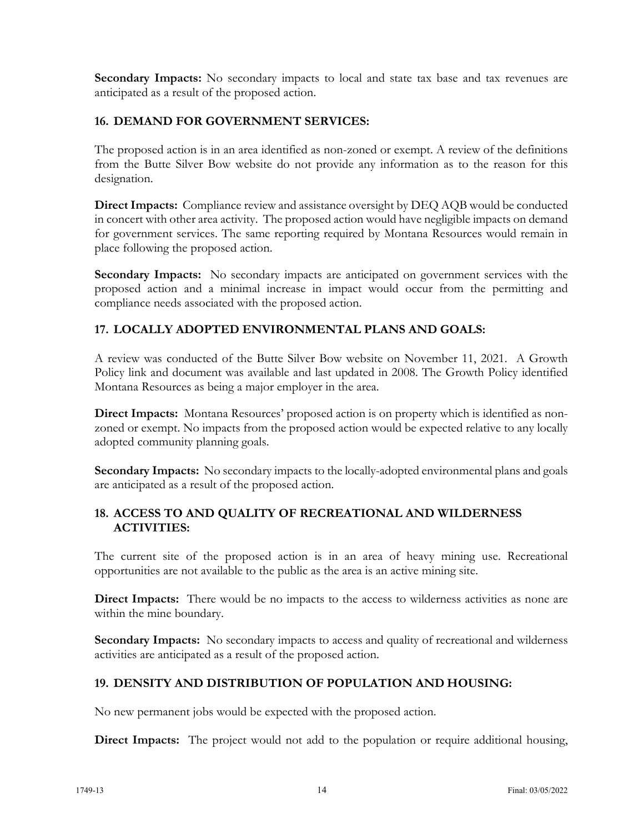**Secondary Impacts:** No secondary impacts to local and state tax base and tax revenues are anticipated as a result of the proposed action.

#### **16. DEMAND FOR GOVERNMENT SERVICES:**

The proposed action is in an area identified as non-zoned or exempt. A review of the definitions from the Butte Silver Bow website do not provide any information as to the reason for this designation.

**Direct Impacts:** Compliance review and assistance oversight by DEQ AQB would be conducted in concert with other area activity. The proposed action would have negligible impacts on demand for government services. The same reporting required by Montana Resources would remain in place following the proposed action.

**Secondary Impacts:** No secondary impacts are anticipated on government services with the proposed action and a minimal increase in impact would occur from the permitting and compliance needs associated with the proposed action.

## **17. LOCALLY ADOPTED ENVIRONMENTAL PLANS AND GOALS:**

A review was conducted of the Butte Silver Bow website on November 11, 2021. A Growth Policy link and document was available and last updated in 2008. The Growth Policy identified Montana Resources as being a major employer in the area.

**Direct Impacts:** Montana Resources' proposed action is on property which is identified as nonzoned or exempt. No impacts from the proposed action would be expected relative to any locally adopted community planning goals.

**Secondary Impacts:** No secondary impacts to the locally-adopted environmental plans and goals are anticipated as a result of the proposed action.

#### **18. ACCESS TO AND QUALITY OF RECREATIONAL AND WILDERNESS ACTIVITIES:**

The current site of the proposed action is in an area of heavy mining use. Recreational opportunities are not available to the public as the area is an active mining site.

**Direct Impacts:** There would be no impacts to the access to wilderness activities as none are within the mine boundary.

**Secondary Impacts:** No secondary impacts to access and quality of recreational and wilderness activities are anticipated as a result of the proposed action.

### **19. DENSITY AND DISTRIBUTION OF POPULATION AND HOUSING:**

No new permanent jobs would be expected with the proposed action.

Direct Impacts: The project would not add to the population or require additional housing,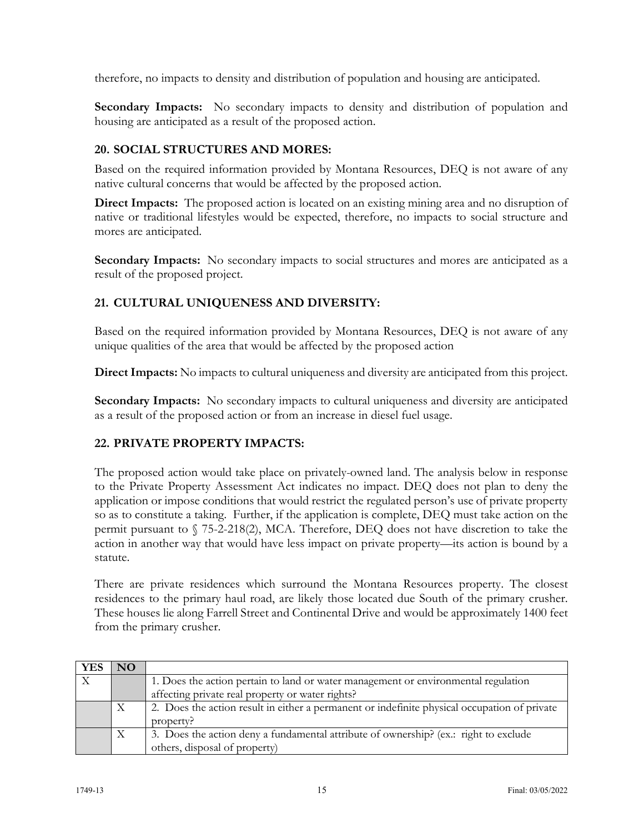therefore, no impacts to density and distribution of population and housing are anticipated.

**Secondary Impacts:** No secondary impacts to density and distribution of population and housing are anticipated as a result of the proposed action.

## **20. SOCIAL STRUCTURES AND MORES:**

Based on the required information provided by Montana Resources, DEQ is not aware of any native cultural concerns that would be affected by the proposed action.

**Direct Impacts:** The proposed action is located on an existing mining area and no disruption of native or traditional lifestyles would be expected, therefore, no impacts to social structure and mores are anticipated.

**Secondary Impacts:** No secondary impacts to social structures and mores are anticipated as a result of the proposed project.

## **21. CULTURAL UNIQUENESS AND DIVERSITY:**

Based on the required information provided by Montana Resources, DEQ is not aware of any unique qualities of the area that would be affected by the proposed action

**Direct Impacts:** No impacts to cultural uniqueness and diversity are anticipated from this project.

**Secondary Impacts:** No secondary impacts to cultural uniqueness and diversity are anticipated as a result of the proposed action or from an increase in diesel fuel usage.

### **22. PRIVATE PROPERTY IMPACTS:**

The proposed action would take place on privately-owned land. The analysis below in response to the Private Property Assessment Act indicates no impact. DEQ does not plan to deny the application or impose conditions that would restrict the regulated person's use of private property so as to constitute a taking. Further, if the application is complete, DEQ must take action on the permit pursuant to § 75-2-218(2), MCA. Therefore, DEQ does not have discretion to take the action in another way that would have less impact on private property—its action is bound by a statute.

There are private residences which surround the Montana Resources property. The closest residences to the primary haul road, are likely those located due South of the primary crusher. These houses lie along Farrell Street and Continental Drive and would be approximately 1400 feet from the primary crusher.

| <b>YES</b> | NO. |                                                                                              |  |  |  |  |
|------------|-----|----------------------------------------------------------------------------------------------|--|--|--|--|
|            |     | 1. Does the action pertain to land or water management or environmental regulation           |  |  |  |  |
|            |     | affecting private real property or water rights?                                             |  |  |  |  |
|            | Χ   | 2. Does the action result in either a permanent or indefinite physical occupation of private |  |  |  |  |
|            |     | property?                                                                                    |  |  |  |  |
|            | X   | 3. Does the action deny a fundamental attribute of ownership? (ex.: right to exclude         |  |  |  |  |
|            |     | others, disposal of property)                                                                |  |  |  |  |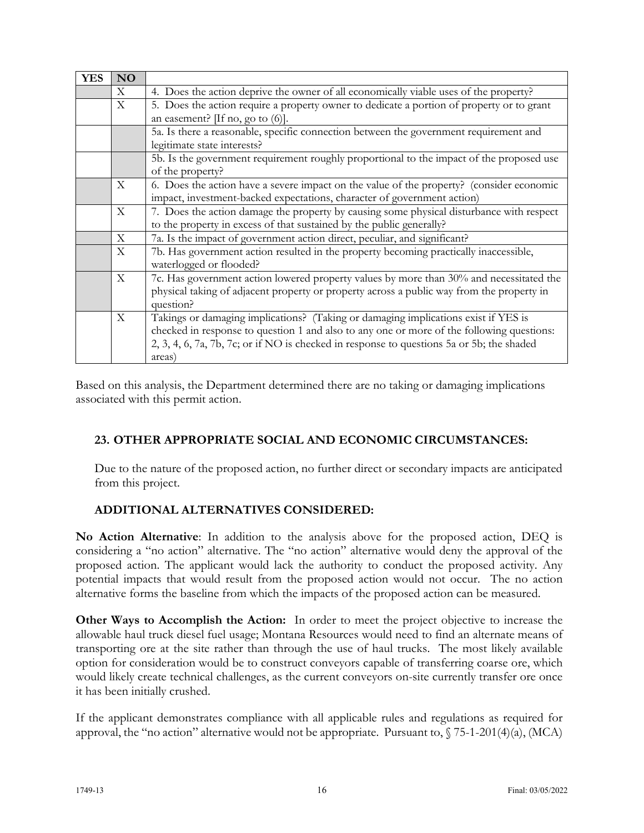| <b>YES</b> | <b>NO</b>   |                                                                                           |  |  |  |  |  |
|------------|-------------|-------------------------------------------------------------------------------------------|--|--|--|--|--|
|            | X           | 4. Does the action deprive the owner of all economically viable uses of the property?     |  |  |  |  |  |
|            | X           | 5. Does the action require a property owner to dedicate a portion of property or to grant |  |  |  |  |  |
|            |             | an easement? $[If no, go to (6)].$                                                        |  |  |  |  |  |
|            |             | 5a. Is there a reasonable, specific connection between the government requirement and     |  |  |  |  |  |
|            |             | legitimate state interests?                                                               |  |  |  |  |  |
|            |             | 5b. Is the government requirement roughly proportional to the impact of the proposed use  |  |  |  |  |  |
|            |             | of the property?                                                                          |  |  |  |  |  |
|            | $\mathbf X$ | 6. Does the action have a severe impact on the value of the property? (consider economic  |  |  |  |  |  |
|            |             | impact, investment-backed expectations, character of government action)                   |  |  |  |  |  |
|            | $\mathbf X$ | 7. Does the action damage the property by causing some physical disturbance with respect  |  |  |  |  |  |
|            |             | to the property in excess of that sustained by the public generally?                      |  |  |  |  |  |
|            | $\mathbf X$ | 7a. Is the impact of government action direct, peculiar, and significant?                 |  |  |  |  |  |
|            | X           | 7b. Has government action resulted in the property becoming practically inaccessible,     |  |  |  |  |  |
|            |             | waterlogged or flooded?                                                                   |  |  |  |  |  |
|            | $\mathbf X$ | 7c. Has government action lowered property values by more than 30% and necessitated the   |  |  |  |  |  |
|            |             | physical taking of adjacent property or property across a public way from the property in |  |  |  |  |  |
|            |             | question?                                                                                 |  |  |  |  |  |
|            | $\mathbf X$ | Takings or damaging implications? (Taking or damaging implications exist if YES is        |  |  |  |  |  |
|            |             | checked in response to question 1 and also to any one or more of the following questions: |  |  |  |  |  |
|            |             | 2, 3, 4, 6, 7a, 7b, 7c; or if NO is checked in response to questions 5a or 5b; the shaded |  |  |  |  |  |
|            |             | areas)                                                                                    |  |  |  |  |  |

Based on this analysis, the Department determined there are no taking or damaging implications associated with this permit action.

## **23. OTHER APPROPRIATE SOCIAL AND ECONOMIC CIRCUMSTANCES:**

Due to the nature of the proposed action, no further direct or secondary impacts are anticipated from this project.

### **ADDITIONAL ALTERNATIVES CONSIDERED:**

**No Action Alternative**: In addition to the analysis above for the proposed action, DEQ is considering a "no action" alternative. The "no action" alternative would deny the approval of the proposed action. The applicant would lack the authority to conduct the proposed activity. Any potential impacts that would result from the proposed action would not occur. The no action alternative forms the baseline from which the impacts of the proposed action can be measured.

**Other Ways to Accomplish the Action:** In order to meet the project objective to increase the allowable haul truck diesel fuel usage; Montana Resources would need to find an alternate means of transporting ore at the site rather than through the use of haul trucks. The most likely available option for consideration would be to construct conveyors capable of transferring coarse ore, which would likely create technical challenges, as the current conveyors on-site currently transfer ore once it has been initially crushed.

If the applicant demonstrates compliance with all applicable rules and regulations as required for approval, the "no action" alternative would not be appropriate. Pursuant to,  $\sqrt{75-1-201(4)(a)}$ , (MCA)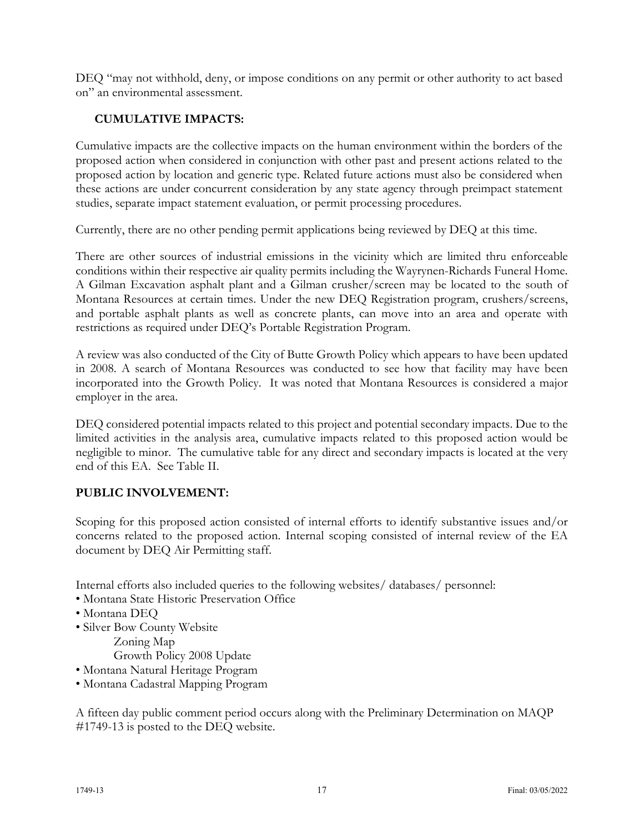DEQ "may not withhold, deny, or impose conditions on any permit or other authority to act based on" an environmental assessment.

## **CUMULATIVE IMPACTS:**

Cumulative impacts are the collective impacts on the human environment within the borders of the proposed action when considered in conjunction with other past and present actions related to the proposed action by location and generic type. Related future actions must also be considered when these actions are under concurrent consideration by any state agency through preimpact statement studies, separate impact statement evaluation, or permit processing procedures.

Currently, there are no other pending permit applications being reviewed by DEQ at this time.

There are other sources of industrial emissions in the vicinity which are limited thru enforceable conditions within their respective air quality permits including the Wayrynen-Richards Funeral Home. A Gilman Excavation asphalt plant and a Gilman crusher/screen may be located to the south of Montana Resources at certain times. Under the new DEQ Registration program, crushers/screens, and portable asphalt plants as well as concrete plants, can move into an area and operate with restrictions as required under DEQ's Portable Registration Program.

A review was also conducted of the City of Butte Growth Policy which appears to have been updated in 2008. A search of Montana Resources was conducted to see how that facility may have been incorporated into the Growth Policy. It was noted that Montana Resources is considered a major employer in the area.

DEQ considered potential impacts related to this project and potential secondary impacts. Due to the limited activities in the analysis area, cumulative impacts related to this proposed action would be negligible to minor. The cumulative table for any direct and secondary impacts is located at the very end of this EA. See Table II.

### **PUBLIC INVOLVEMENT:**

Scoping for this proposed action consisted of internal efforts to identify substantive issues and/or concerns related to the proposed action. Internal scoping consisted of internal review of the EA document by DEQ Air Permitting staff.

Internal efforts also included queries to the following websites/ databases/ personnel:

- Montana State Historic Preservation Office
- Montana DEQ
- Silver Bow County Website

Zoning Map

Growth Policy 2008 Update

• Montana Natural Heritage Program

• Montana Cadastral Mapping Program

A fifteen day public comment period occurs along with the Preliminary Determination on MAQP #1749-13 is posted to the DEQ website.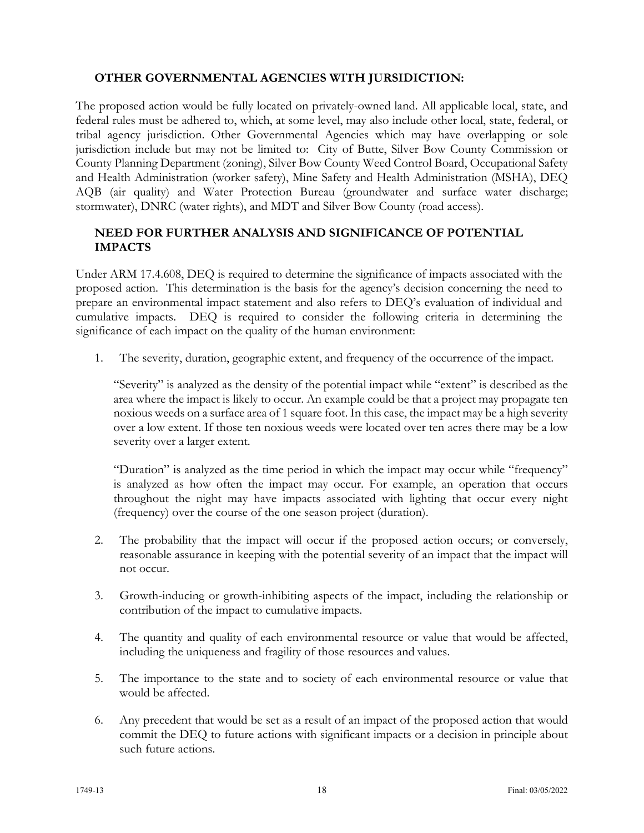### **OTHER GOVERNMENTAL AGENCIES WITH JURSIDICTION:**

The proposed action would be fully located on privately-owned land. All applicable local, state, and federal rules must be adhered to, which, at some level, may also include other local, state, federal, or tribal agency jurisdiction. Other Governmental Agencies which may have overlapping or sole jurisdiction include but may not be limited to: City of Butte, Silver Bow County Commission or County Planning Department (zoning), Silver Bow County Weed Control Board, Occupational Safety and Health Administration (worker safety), Mine Safety and Health Administration (MSHA), DEQ AQB (air quality) and Water Protection Bureau (groundwater and surface water discharge; stormwater), DNRC (water rights), and MDT and Silver Bow County (road access).

#### **NEED FOR FURTHER ANALYSIS AND SIGNIFICANCE OF POTENTIAL IMPACTS**

Under ARM 17.4.608, DEQ is required to determine the significance of impacts associated with the proposed action. This determination is the basis for the agency's decision concerning the need to prepare an environmental impact statement and also refers to DEQ's evaluation of individual and cumulative impacts. DEQ is required to consider the following criteria in determining the significance of each impact on the quality of the human environment:

1. The severity, duration, geographic extent, and frequency of the occurrence of the impact.

"Severity" is analyzed as the density of the potential impact while "extent" is described as the area where the impact is likely to occur. An example could be that a project may propagate ten noxious weeds on a surface area of 1 square foot. In this case, the impact may be a high severity over a low extent. If those ten noxious weeds were located over ten acres there may be a low severity over a larger extent.

"Duration" is analyzed as the time period in which the impact may occur while "frequency" is analyzed as how often the impact may occur. For example, an operation that occurs throughout the night may have impacts associated with lighting that occur every night (frequency) over the course of the one season project (duration).

- 2. The probability that the impact will occur if the proposed action occurs; or conversely, reasonable assurance in keeping with the potential severity of an impact that the impact will not occur.
- 3. Growth-inducing or growth-inhibiting aspects of the impact, including the relationship or contribution of the impact to cumulative impacts.
- 4. The quantity and quality of each environmental resource or value that would be affected, including the uniqueness and fragility of those resources and values.
- 5. The importance to the state and to society of each environmental resource or value that would be affected.
- 6. Any precedent that would be set as a result of an impact of the proposed action that would commit the DEQ to future actions with significant impacts or a decision in principle about such future actions.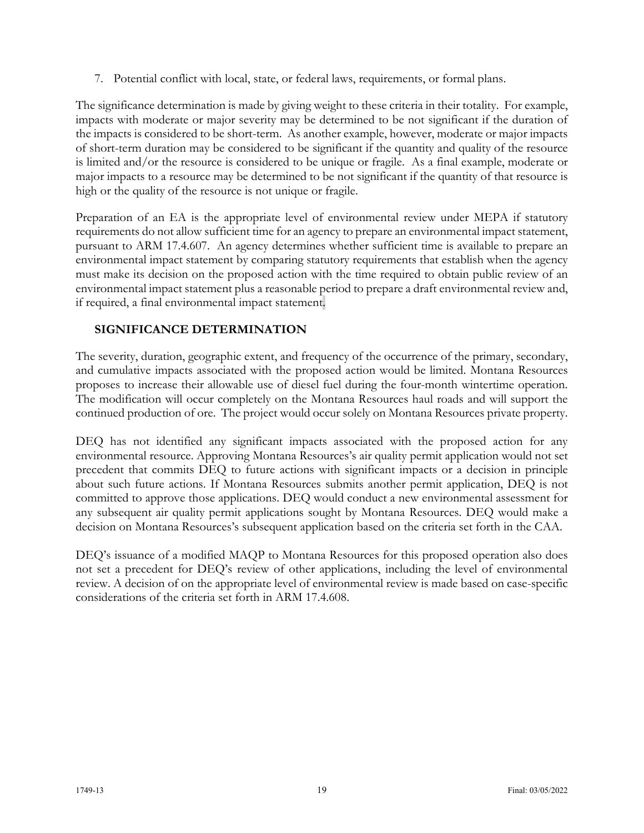7. Potential conflict with local, state, or federal laws, requirements, or formal plans.

The significance determination is made by giving weight to these criteria in their totality. For example, impacts with moderate or major severity may be determined to be not significant if the duration of the impacts is considered to be short-term. As another example, however, moderate or major impacts of short-term duration may be considered to be significant if the quantity and quality of the resource is limited and/or the resource is considered to be unique or fragile. As a final example, moderate or major impacts to a resource may be determined to be not significant if the quantity of that resource is high or the quality of the resource is not unique or fragile.

Preparation of an EA is the appropriate level of environmental review under MEPA if statutory requirements do not allow sufficient time for an agency to prepare an environmental impact statement, pursuant to ARM 17.4.607. An agency determines whether sufficient time is available to prepare an environmental impact statement by comparing statutory requirements that establish when the agency must make its decision on the proposed action with the time required to obtain public review of an environmental impact statement plus a reasonable period to prepare a draft environmental review and, if required, a final environmental impact statement.

### **SIGNIFICANCE DETERMINATION**

The severity, duration, geographic extent, and frequency of the occurrence of the primary, secondary, and cumulative impacts associated with the proposed action would be limited. Montana Resources proposes to increase their allowable use of diesel fuel during the four-month wintertime operation. The modification will occur completely on the Montana Resources haul roads and will support the continued production of ore. The project would occur solely on Montana Resources private property.

DEQ has not identified any significant impacts associated with the proposed action for any environmental resource. Approving Montana Resources's air quality permit application would not set precedent that commits DEQ to future actions with significant impacts or a decision in principle about such future actions. If Montana Resources submits another permit application, DEQ is not committed to approve those applications. DEQ would conduct a new environmental assessment for any subsequent air quality permit applications sought by Montana Resources. DEQ would make a decision on Montana Resources's subsequent application based on the criteria set forth in the CAA.

DEQ's issuance of a modified MAQP to Montana Resources for this proposed operation also does not set a precedent for DEQ's review of other applications, including the level of environmental review. A decision of on the appropriate level of environmental review is made based on case-specific considerations of the criteria set forth in ARM 17.4.608.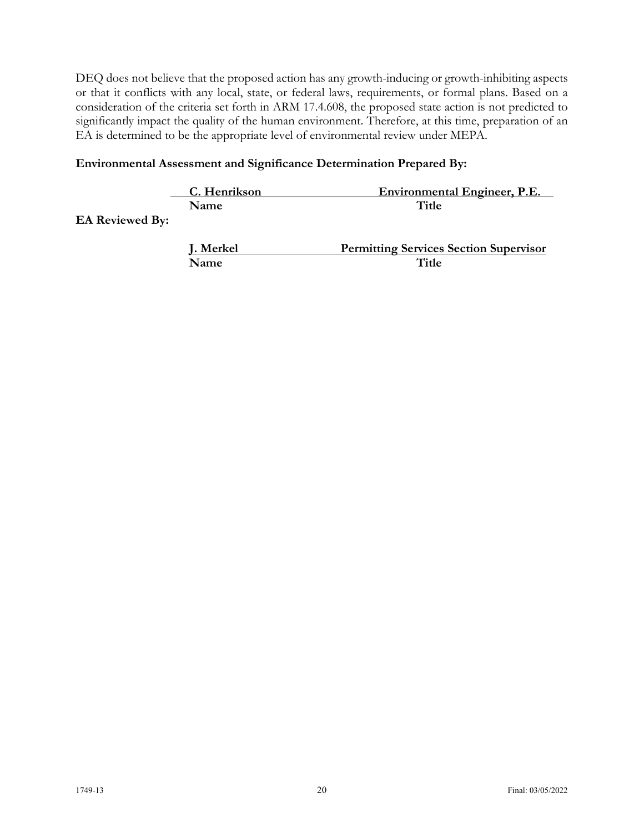DEQ does not believe that the proposed action has any growth-inducing or growth-inhibiting aspects or that it conflicts with any local, state, or federal laws, requirements, or formal plans. Based on a consideration of the criteria set forth in ARM 17.4.608, the proposed state action is not predicted to significantly impact the quality of the human environment. Therefore, at this time, preparation of an EA is determined to be the appropriate level of environmental review under MEPA.

### **Environmental Assessment and Significance Determination Prepared By:**

|                        | C. Henrikson | <b>Environmental Engineer, P.E.</b>           |
|------------------------|--------------|-----------------------------------------------|
|                        | <b>Name</b>  | Title                                         |
| <b>EA Reviewed By:</b> |              |                                               |
|                        |              |                                               |
|                        | J. Merkel    | <b>Permitting Services Section Supervisor</b> |
|                        | Name         | Title                                         |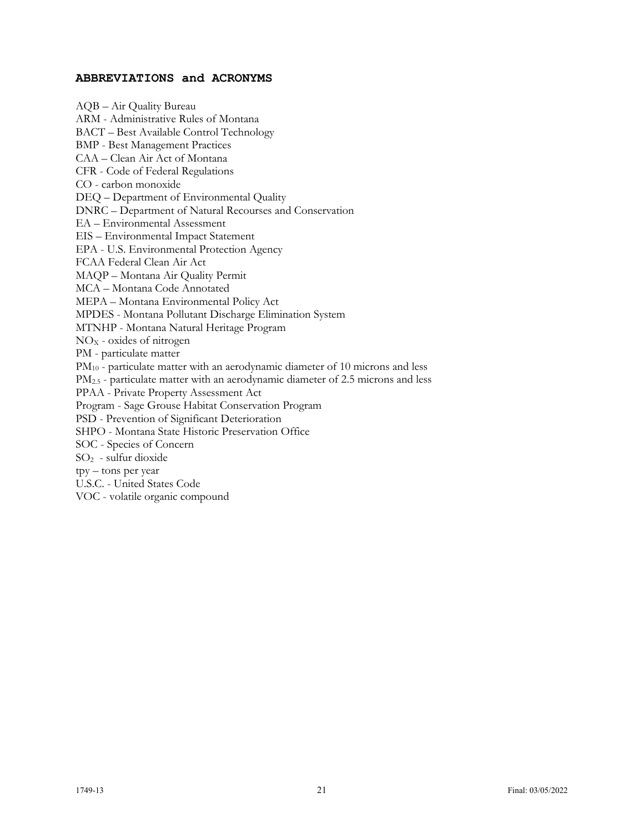#### **ABBREVIATIONS and ACRONYMS**

AQB – Air Quality Bureau ARM - Administrative Rules of Montana BACT – Best Available Control Technology BMP - Best Management Practices CAA – Clean Air Act of Montana CFR - Code of Federal Regulations CO - carbon monoxide DEQ – Department of Environmental Quality DNRC – Department of Natural Recourses and Conservation EA – Environmental Assessment EIS – Environmental Impact Statement EPA - U.S. Environmental Protection Agency FCAA Federal Clean Air Act MAQP – Montana Air Quality Permit MCA – Montana Code Annotated MEPA – Montana Environmental Policy Act MPDES - Montana Pollutant Discharge Elimination System MTNHP - Montana Natural Heritage Program  $NO<sub>X</sub>$  - oxides of nitrogen PM - particulate matter PM<sub>10</sub> - particulate matter with an aerodynamic diameter of 10 microns and less PM<sub>2.5</sub> - particulate matter with an aerodynamic diameter of 2.5 microns and less PPAA - Private Property Assessment Act Program - Sage Grouse Habitat Conservation Program PSD - Prevention of Significant Deterioration SHPO - Montana State Historic Preservation Office SOC - Species of Concern  $SO<sub>2</sub>$  - sulfur dioxide tpy – tons per year U.S.C. - United States Code VOC - volatile organic compound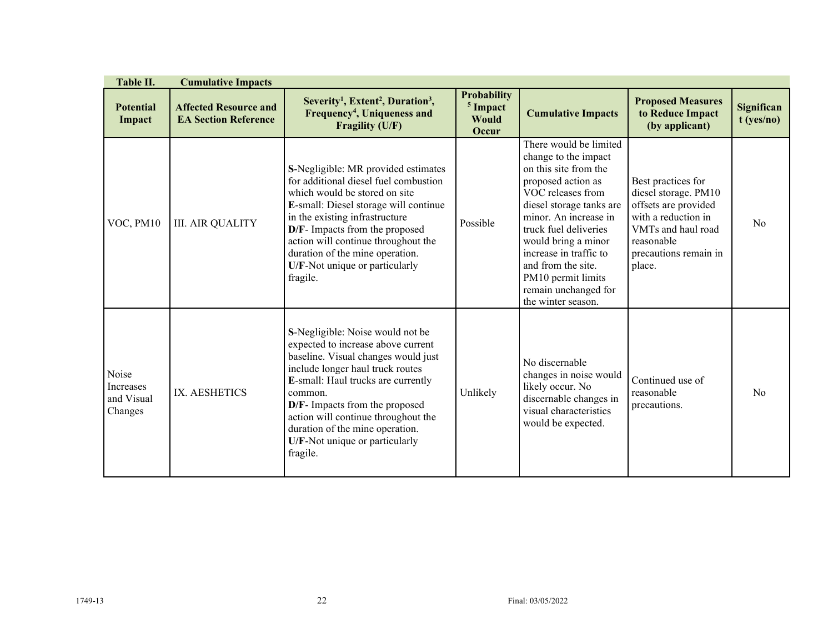| Table II.                                   | <b>Cumulative Impacts</b>                                   |                                                                                                                                                                                                                                                                                                                                                              |                                                             |                                                                                                                                                                                                                                                                                                                                             |                                                                                                                                                                  |                                   |
|---------------------------------------------|-------------------------------------------------------------|--------------------------------------------------------------------------------------------------------------------------------------------------------------------------------------------------------------------------------------------------------------------------------------------------------------------------------------------------------------|-------------------------------------------------------------|---------------------------------------------------------------------------------------------------------------------------------------------------------------------------------------------------------------------------------------------------------------------------------------------------------------------------------------------|------------------------------------------------------------------------------------------------------------------------------------------------------------------|-----------------------------------|
| <b>Potential</b><br>Impact                  | <b>Affected Resource and</b><br><b>EA Section Reference</b> | Severity <sup>1</sup> , Extent <sup>2</sup> , Duration <sup>3</sup> ,<br>Frequency <sup>4</sup> , Uniqueness and<br>Fragility (U/F)                                                                                                                                                                                                                          | <b>Probability</b><br><sup>5</sup> Impact<br>Would<br>Occur | <b>Cumulative Impacts</b>                                                                                                                                                                                                                                                                                                                   | <b>Proposed Measures</b><br>to Reduce Impact<br>(by applicant)                                                                                                   | <b>Significan</b><br>$t$ (yes/no) |
| VOC, PM10                                   | <b>III. AIR QUALITY</b>                                     | S-Negligible: MR provided estimates<br>for additional diesel fuel combustion<br>which would be stored on site<br>E-small: Diesel storage will continue<br>in the existing infrastructure<br>D/F- Impacts from the proposed<br>action will continue throughout the<br>duration of the mine operation.<br>U/F-Not unique or particularly<br>fragile.           | Possible                                                    | There would be limited<br>change to the impact<br>on this site from the<br>proposed action as<br>VOC releases from<br>diesel storage tanks are<br>minor. An increase in<br>truck fuel deliveries<br>would bring a minor<br>increase in traffic to<br>and from the site.<br>PM10 permit limits<br>remain unchanged for<br>the winter season. | Best practices for<br>diesel storage. PM10<br>offsets are provided<br>with a reduction in<br>VMTs and haul road<br>reasonable<br>precautions remain in<br>place. | N <sub>o</sub>                    |
| Noise<br>Increases<br>and Visual<br>Changes | IX. AESHETICS                                               | S-Negligible: Noise would not be<br>expected to increase above current<br>baseline. Visual changes would just<br>include longer haul truck routes<br>E-small: Haul trucks are currently<br>common.<br>D/F- Impacts from the proposed<br>action will continue throughout the<br>duration of the mine operation.<br>U/F-Not unique or particularly<br>fragile. | Unlikely                                                    | No discernable<br>changes in noise would<br>likely occur. No<br>discernable changes in<br>visual characteristics<br>would be expected.                                                                                                                                                                                                      | Continued use of<br>reasonable<br>precautions.                                                                                                                   | No                                |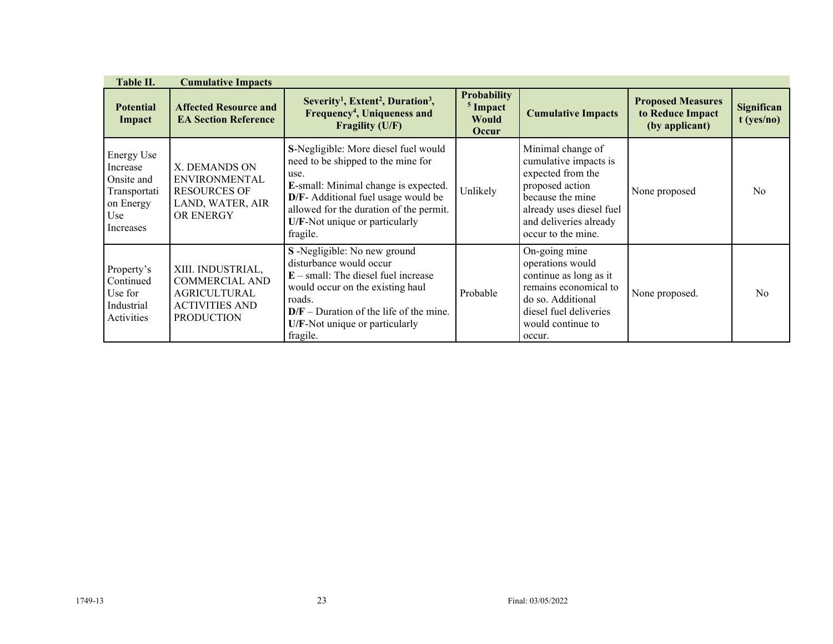| Table II.                                                                                    | <b>Cumulative Impacts</b>                                                                                       |                                                                                                                                                                                                                                                            |                                                                    |                                                                                                                                                                                    |                                                                |                            |
|----------------------------------------------------------------------------------------------|-----------------------------------------------------------------------------------------------------------------|------------------------------------------------------------------------------------------------------------------------------------------------------------------------------------------------------------------------------------------------------------|--------------------------------------------------------------------|------------------------------------------------------------------------------------------------------------------------------------------------------------------------------------|----------------------------------------------------------------|----------------------------|
| <b>Potential</b><br>Impact                                                                   | <b>Affected Resource and</b><br><b>EA Section Reference</b>                                                     | Severity <sup>1</sup> , Extent <sup>2</sup> , Duration <sup>3</sup> ,<br>Frequency <sup>4</sup> , Uniqueness and<br><b>Fragility (U/F)</b>                                                                                                                 | <b>Probability</b><br><sup>5</sup> Impact<br><b>Would</b><br>Occur | <b>Cumulative Impacts</b>                                                                                                                                                          | <b>Proposed Measures</b><br>to Reduce Impact<br>(by applicant) | Significan<br>$t$ (yes/no) |
| <b>Energy Use</b><br>Increase<br>Onsite and<br>Transportati<br>on Energy<br>Use<br>Increases | X. DEMANDS ON<br><b>ENVIRONMENTAL</b><br><b>RESOURCES OF</b><br>LAND, WATER, AIR<br><b>OR ENERGY</b>            | S-Negligible: More diesel fuel would<br>need to be shipped to the mine for<br>use.<br>E-small: Minimal change is expected.<br>D/F- Additional fuel usage would be<br>allowed for the duration of the permit.<br>U/F-Not unique or particularly<br>fragile. | Unlikely                                                           | Minimal change of<br>cumulative impacts is<br>expected from the<br>proposed action<br>because the mine<br>already uses diesel fuel<br>and deliveries already<br>occur to the mine. | None proposed                                                  | N <sub>o</sub>             |
| Property's<br>Continued<br>Use for<br>Industrial<br>Activities                               | XIII. INDUSTRIAL,<br><b>COMMERCIAL AND</b><br><b>AGRICULTURAL</b><br><b>ACTIVITIES AND</b><br><b>PRODUCTION</b> | S-Negligible: No new ground<br>disturbance would occur<br>$E$ – small: The diesel fuel increase<br>would occur on the existing haul<br>roads.<br>$D/F$ – Duration of the life of the mine.<br>U/F-Not unique or particularly<br>fragile.                   | Probable                                                           | On-going mine<br>operations would<br>continue as long as it<br>remains economical to<br>do so. Additional<br>diesel fuel deliveries<br>would continue to<br>occur.                 | None proposed.                                                 | N <sub>0</sub>             |